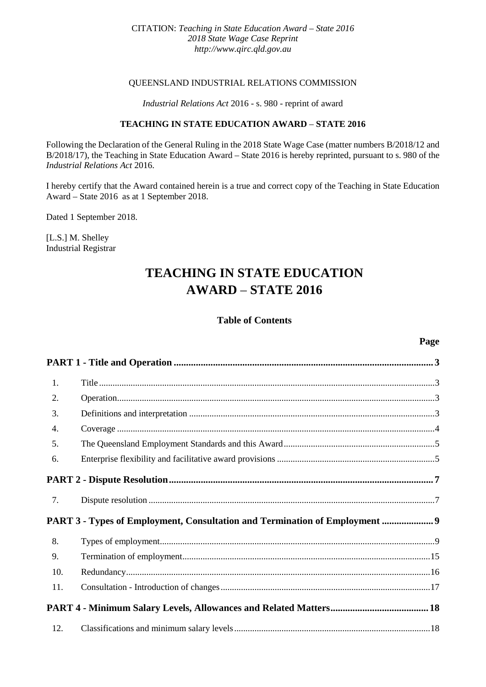## CITATION: *Teaching in State Education Award – State 2016 2018 State Wage Case Reprint [http://www.qirc.qld.gov.au](http://www.qirc.qld.gov.au/)*

## QUEENSLAND INDUSTRIAL RELATIONS COMMISSION

## *Industrial Relations Act* 2016 - s. 980 - reprint of award

## **TEACHING IN STATE EDUCATION AWARD** – **STATE 2016**

Following the Declaration of the General Ruling in the 2018 State Wage Case (matter numbers B/2018/12 and B/2018/17), the Teaching in State Education Award – State 2016 is hereby reprinted, pursuant to s. 980 of the *Industrial Relations Act* 2016.

I hereby certify that the Award contained herein is a true and correct copy of the Teaching in State Education Award – State 2016 as at 1 September 2018.

Dated 1 September 2018.

[L.S.] M. Shelley Industrial Registrar

# **TEACHING IN STATE EDUCATION AWARD** – **STATE 2016**

## **Table of Contents**

## **Page**

| 1.  |                                                                             |  |
|-----|-----------------------------------------------------------------------------|--|
| 2.  |                                                                             |  |
| 3.  |                                                                             |  |
| 4.  |                                                                             |  |
| 5.  |                                                                             |  |
| 6.  |                                                                             |  |
|     |                                                                             |  |
| 7.  |                                                                             |  |
|     | PART 3 - Types of Employment, Consultation and Termination of Employment  9 |  |
| 8.  |                                                                             |  |
| 9.  |                                                                             |  |
| 10. |                                                                             |  |
| 11. |                                                                             |  |
|     |                                                                             |  |
| 12. |                                                                             |  |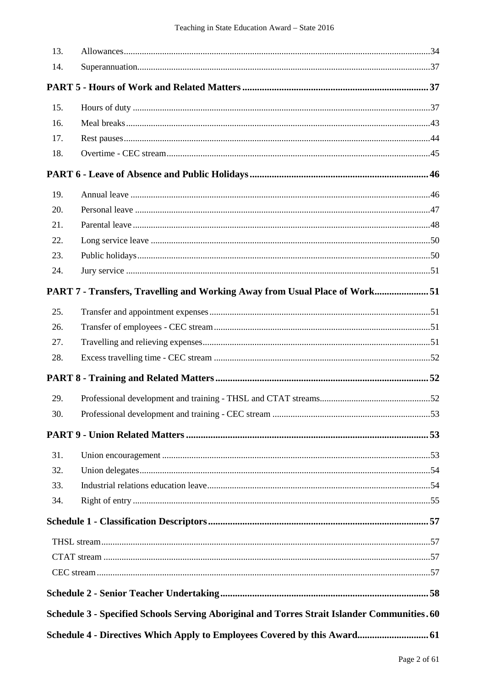| 13. |                                                                                              |  |
|-----|----------------------------------------------------------------------------------------------|--|
| 14. |                                                                                              |  |
|     |                                                                                              |  |
| 15. |                                                                                              |  |
| 16. |                                                                                              |  |
| 17. |                                                                                              |  |
| 18. |                                                                                              |  |
|     |                                                                                              |  |
| 19. |                                                                                              |  |
| 20. |                                                                                              |  |
| 21. |                                                                                              |  |
| 22. |                                                                                              |  |
| 23. |                                                                                              |  |
| 24. |                                                                                              |  |
|     | PART 7 - Transfers, Travelling and Working Away from Usual Place of Work51                   |  |
| 25. |                                                                                              |  |
| 26. |                                                                                              |  |
| 27. |                                                                                              |  |
| 28. |                                                                                              |  |
|     |                                                                                              |  |
| 29. |                                                                                              |  |
| 30. |                                                                                              |  |
|     |                                                                                              |  |
| 31. |                                                                                              |  |
| 32. |                                                                                              |  |
| 33. |                                                                                              |  |
| 34. |                                                                                              |  |
|     |                                                                                              |  |
|     |                                                                                              |  |
|     |                                                                                              |  |
|     |                                                                                              |  |
|     |                                                                                              |  |
|     | Schedule 3 - Specified Schools Serving Aboriginal and Torres Strait Islander Communities. 60 |  |
|     | Schedule 4 - Directives Which Apply to Employees Covered by this Award 61                    |  |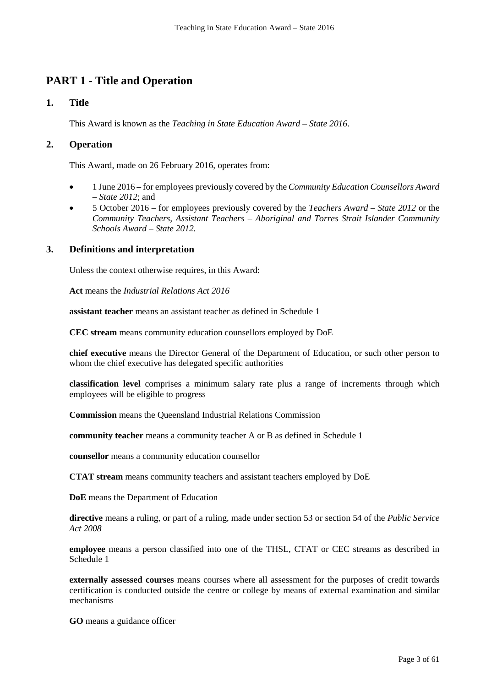# **PART 1 - Title and Operation**

# **1. Title**

This Award is known as the *Teaching in State Education Award – State 2016*.

## **2. Operation**

This Award, made on 26 February 2016, operates from:

- 1 June 2016 for employees previously covered by the *Community Education Counsellors Award – State 2012*; and
- 5 October 2016 for employees previously covered by the *Teachers Award – State 2012* or the *Community Teachers, Assistant Teachers – Aboriginal and Torres Strait Islander Community Schools Award – State 2012.*

## **3. Definitions and interpretation**

Unless the context otherwise requires, in this Award:

**Act** means the *Industrial Relations Act 2016*

**assistant teacher** means an assistant teacher as defined in Schedule 1

**CEC stream** means community education counsellors employed by DoE

**chief executive** means the Director General of the Department of Education, or such other person to whom the chief executive has delegated specific authorities

**classification level** comprises a minimum salary rate plus a range of increments through which employees will be eligible to progress

**Commission** means the Queensland Industrial Relations Commission

**community teacher** means a community teacher A or B as defined in Schedule 1

**counsellor** means a community education counsellor

**CTAT stream** means community teachers and assistant teachers employed by DoE

**DoE** means the Department of Education

**directive** means a ruling, or part of a ruling, made under section 53 or section 54 of the *Public Service Act 2008*

**employee** means a person classified into one of the THSL, CTAT or CEC streams as described in Schedule 1

**externally assessed courses** means courses where all assessment for the purposes of credit towards certification is conducted outside the centre or college by means of external examination and similar mechanisms

**GO** means a guidance officer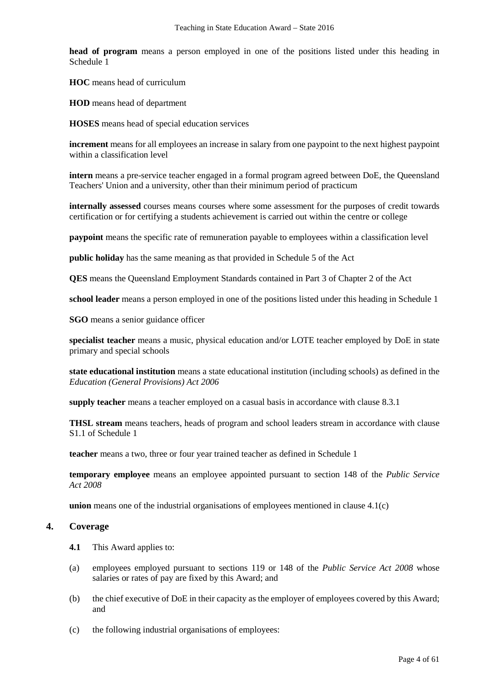**head of program** means a person employed in one of the positions listed under this heading in Schedule 1

**HOC** means head of curriculum

**HOD** means head of department

**HOSES** means head of special education services

**increment** means for all employees an increase in salary from one paypoint to the next highest paypoint within a classification level

**intern** means a pre-service teacher engaged in a formal program agreed between DoE, the Queensland Teachers' Union and a university, other than their minimum period of practicum

**internally assessed** courses means courses where some assessment for the purposes of credit towards certification or for certifying a students achievement is carried out within the centre or college

**paypoint** means the specific rate of remuneration payable to employees within a classification level

**public holiday** has the same meaning as that provided in Schedule 5 of the Act

**QES** means the Queensland Employment Standards contained in Part 3 of Chapter 2 of the Act

**school leader** means a person employed in one of the positions listed under this heading in Schedule 1

**SGO** means a senior guidance officer

**specialist teacher** means a music, physical education and/or LOTE teacher employed by DoE in state primary and special schools

**state educational institution** means a state educational institution (including schools) as defined in the *Education (General Provisions) Act 2006*

**supply teacher** means a teacher employed on a casual basis in accordance with clause 8.3.1

**THSL stream** means teachers, heads of program and school leaders stream in accordance with clause S1.1 of Schedule 1

**teacher** means a two, three or four year trained teacher as defined in Schedule 1

**temporary employee** means an employee appointed pursuant to section 148 of the *Public Service Act 2008*

**union** means one of the industrial organisations of employees mentioned in clause 4.1(c)

## **4. Coverage**

- **4.1** This Award applies to:
- (a) employees employed pursuant to sections 119 or 148 of the *Public Service Act 2008* whose salaries or rates of pay are fixed by this Award; and
- (b) the chief executive of DoE in their capacity as the employer of employees covered by this Award; and
- (c) the following industrial organisations of employees: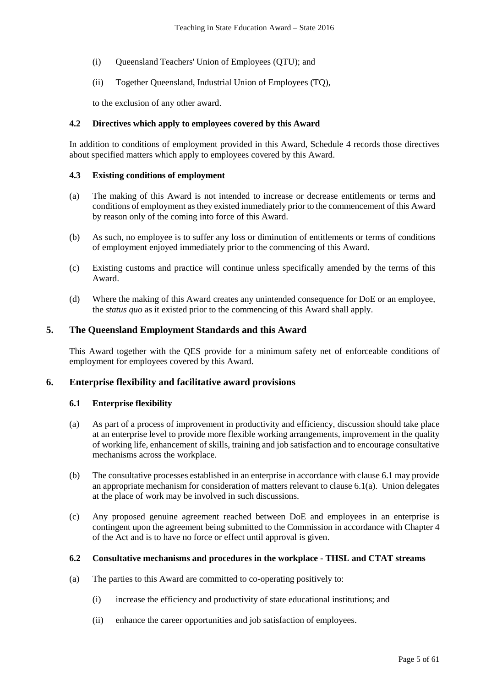- (i) Queensland Teachers' Union of Employees (QTU); and
- (ii) Together Queensland, Industrial Union of Employees (TQ),

to the exclusion of any other award.

### **4.2 Directives which apply to employees covered by this Award**

In addition to conditions of employment provided in this Award, Schedule 4 records those directives about specified matters which apply to employees covered by this Award.

## **4.3 Existing conditions of employment**

- (a) The making of this Award is not intended to increase or decrease entitlements or terms and conditions of employment as they existed immediately prior to the commencement of this Award by reason only of the coming into force of this Award.
- (b) As such, no employee is to suffer any loss or diminution of entitlements or terms of conditions of employment enjoyed immediately prior to the commencing of this Award.
- (c) Existing customs and practice will continue unless specifically amended by the terms of this Award.
- (d) Where the making of this Award creates any unintended consequence for DoE or an employee, the *status quo* as it existed prior to the commencing of this Award shall apply.

## **5. The Queensland Employment Standards and this Award**

This Award together with the QES provide for a minimum safety net of enforceable conditions of employment for employees covered by this Award.

## **6. Enterprise flexibility and facilitative award provisions**

## **6.1 Enterprise flexibility**

- (a) As part of a process of improvement in productivity and efficiency, discussion should take place at an enterprise level to provide more flexible working arrangements, improvement in the quality of working life, enhancement of skills, training and job satisfaction and to encourage consultative mechanisms across the workplace.
- (b) The consultative processes established in an enterprise in accordance with clause 6.1 may provide an appropriate mechanism for consideration of matters relevant to clause 6.1(a). Union delegates at the place of work may be involved in such discussions.
- (c) Any proposed genuine agreement reached between DoE and employees in an enterprise is contingent upon the agreement being submitted to the Commission in accordance with Chapter 4 of the Act and is to have no force or effect until approval is given.

## **6.2 Consultative mechanisms and procedures in the workplace - THSL and CTAT streams**

- (a) The parties to this Award are committed to co-operating positively to:
	- (i) increase the efficiency and productivity of state educational institutions; and
	- (ii) enhance the career opportunities and job satisfaction of employees.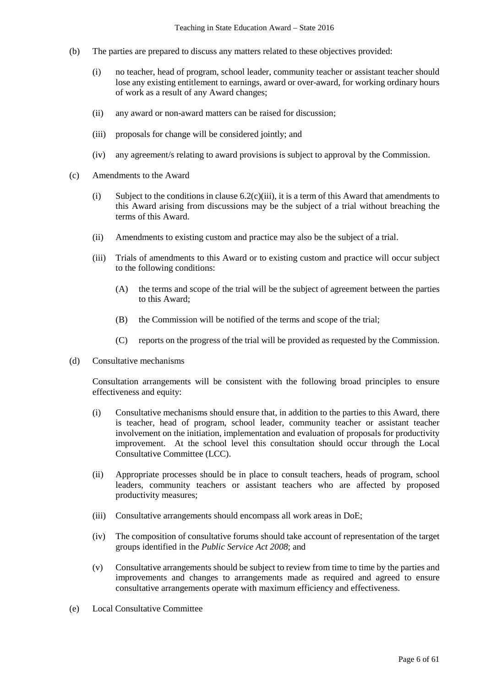- (b) The parties are prepared to discuss any matters related to these objectives provided:
	- (i) no teacher, head of program, school leader, community teacher or assistant teacher should lose any existing entitlement to earnings, award or over-award, for working ordinary hours of work as a result of any Award changes;
	- (ii) any award or non-award matters can be raised for discussion;
	- (iii) proposals for change will be considered jointly; and
	- (iv) any agreement/s relating to award provisions is subject to approval by the Commission.
- (c) Amendments to the Award
	- (i) Subject to the conditions in clause  $6.2(c)$  (iii), it is a term of this Award that amendments to this Award arising from discussions may be the subject of a trial without breaching the terms of this Award.
	- (ii) Amendments to existing custom and practice may also be the subject of a trial.
	- (iii) Trials of amendments to this Award or to existing custom and practice will occur subject to the following conditions:
		- (A) the terms and scope of the trial will be the subject of agreement between the parties to this Award;
		- (B) the Commission will be notified of the terms and scope of the trial;
		- (C) reports on the progress of the trial will be provided as requested by the Commission.
- (d) Consultative mechanisms

Consultation arrangements will be consistent with the following broad principles to ensure effectiveness and equity:

- (i) Consultative mechanisms should ensure that, in addition to the parties to this Award, there is teacher, head of program, school leader, community teacher or assistant teacher involvement on the initiation, implementation and evaluation of proposals for productivity improvement. At the school level this consultation should occur through the Local Consultative Committee (LCC).
- (ii) Appropriate processes should be in place to consult teachers, heads of program, school leaders, community teachers or assistant teachers who are affected by proposed productivity measures;
- (iii) Consultative arrangements should encompass all work areas in DoE;
- (iv) The composition of consultative forums should take account of representation of the target groups identified in the *Public Service Act 2008*; and
- (v) Consultative arrangements should be subject to review from time to time by the parties and improvements and changes to arrangements made as required and agreed to ensure consultative arrangements operate with maximum efficiency and effectiveness.
- (e) Local Consultative Committee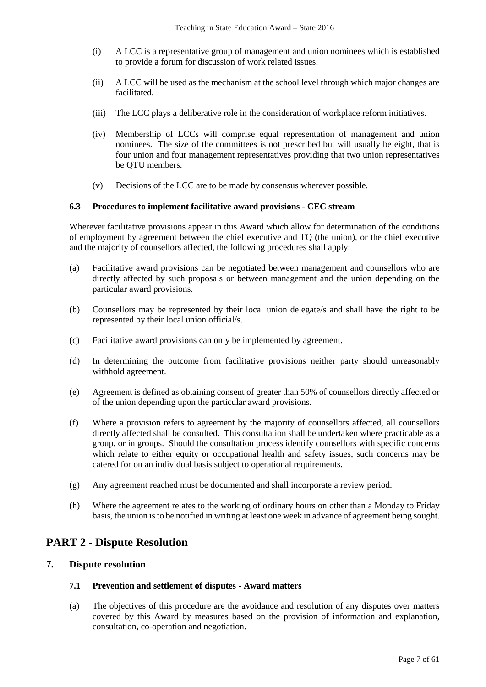- (i) A LCC is a representative group of management and union nominees which is established to provide a forum for discussion of work related issues.
- (ii) A LCC will be used as the mechanism at the school level through which major changes are facilitated.
- (iii) The LCC plays a deliberative role in the consideration of workplace reform initiatives.
- (iv) Membership of LCCs will comprise equal representation of management and union nominees. The size of the committees is not prescribed but will usually be eight, that is four union and four management representatives providing that two union representatives be QTU members.
- (v) Decisions of the LCC are to be made by consensus wherever possible.

### **6.3 Procedures to implement facilitative award provisions - CEC stream**

Wherever facilitative provisions appear in this Award which allow for determination of the conditions of employment by agreement between the chief executive and TQ (the union), or the chief executive and the majority of counsellors affected, the following procedures shall apply:

- (a) Facilitative award provisions can be negotiated between management and counsellors who are directly affected by such proposals or between management and the union depending on the particular award provisions.
- (b) Counsellors may be represented by their local union delegate/s and shall have the right to be represented by their local union official/s.
- (c) Facilitative award provisions can only be implemented by agreement.
- (d) In determining the outcome from facilitative provisions neither party should unreasonably withhold agreement.
- (e) Agreement is defined as obtaining consent of greater than 50% of counsellors directly affected or of the union depending upon the particular award provisions.
- (f) Where a provision refers to agreement by the majority of counsellors affected, all counsellors directly affected shall be consulted. This consultation shall be undertaken where practicable as a group, or in groups. Should the consultation process identify counsellors with specific concerns which relate to either equity or occupational health and safety issues, such concerns may be catered for on an individual basis subject to operational requirements.
- (g) Any agreement reached must be documented and shall incorporate a review period.
- (h) Where the agreement relates to the working of ordinary hours on other than a Monday to Friday basis, the union is to be notified in writing at least one week in advance of agreement being sought.

# **PART 2 - Dispute Resolution**

## **7. Dispute resolution**

#### **7.1 Prevention and settlement of disputes - Award matters**

(a) The objectives of this procedure are the avoidance and resolution of any disputes over matters covered by this Award by measures based on the provision of information and explanation, consultation, co-operation and negotiation.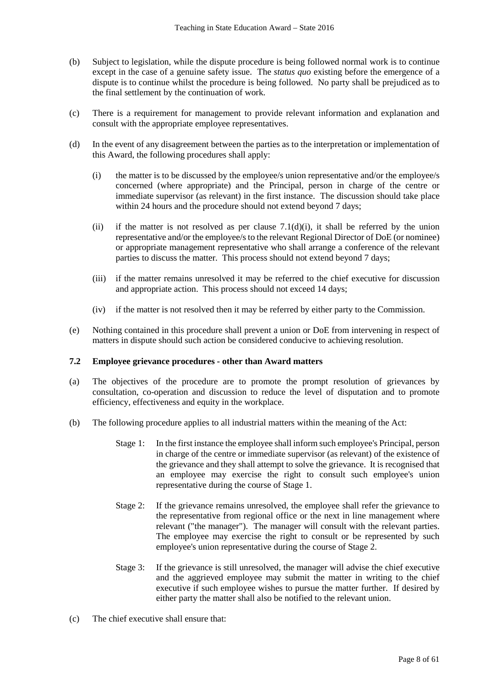- (b) Subject to legislation, while the dispute procedure is being followed normal work is to continue except in the case of a genuine safety issue. The *status quo* existing before the emergence of a dispute is to continue whilst the procedure is being followed. No party shall be prejudiced as to the final settlement by the continuation of work.
- (c) There is a requirement for management to provide relevant information and explanation and consult with the appropriate employee representatives.
- (d) In the event of any disagreement between the parties as to the interpretation or implementation of this Award, the following procedures shall apply:
	- (i) the matter is to be discussed by the employee/s union representative and/or the employee/s concerned (where appropriate) and the Principal, person in charge of the centre or immediate supervisor (as relevant) in the first instance. The discussion should take place within 24 hours and the procedure should not extend beyond 7 days;
	- (ii) if the matter is not resolved as per clause  $7.1(d)(i)$ , it shall be referred by the union representative and/or the employee/s to the relevant Regional Director of DoE (or nominee) or appropriate management representative who shall arrange a conference of the relevant parties to discuss the matter. This process should not extend beyond 7 days;
	- (iii) if the matter remains unresolved it may be referred to the chief executive for discussion and appropriate action. This process should not exceed 14 days;
	- (iv) if the matter is not resolved then it may be referred by either party to the Commission.
- (e) Nothing contained in this procedure shall prevent a union or DoE from intervening in respect of matters in dispute should such action be considered conducive to achieving resolution.

## **7.2 Employee grievance procedures - other than Award matters**

- (a) The objectives of the procedure are to promote the prompt resolution of grievances by consultation, co-operation and discussion to reduce the level of disputation and to promote efficiency, effectiveness and equity in the workplace.
- (b) The following procedure applies to all industrial matters within the meaning of the Act:
	- Stage 1: In the first instance the employee shall inform such employee's Principal, person in charge of the centre or immediate supervisor (as relevant) of the existence of the grievance and they shall attempt to solve the grievance. It is recognised that an employee may exercise the right to consult such employee's union representative during the course of Stage 1.
	- Stage 2: If the grievance remains unresolved, the employee shall refer the grievance to the representative from regional office or the next in line management where relevant ("the manager"). The manager will consult with the relevant parties. The employee may exercise the right to consult or be represented by such employee's union representative during the course of Stage 2.
	- Stage 3: If the grievance is still unresolved, the manager will advise the chief executive and the aggrieved employee may submit the matter in writing to the chief executive if such employee wishes to pursue the matter further. If desired by either party the matter shall also be notified to the relevant union.
- (c) The chief executive shall ensure that: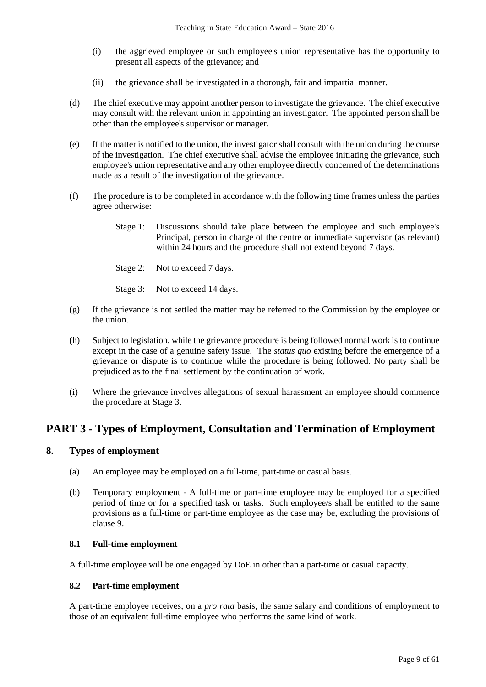- (i) the aggrieved employee or such employee's union representative has the opportunity to present all aspects of the grievance; and
- (ii) the grievance shall be investigated in a thorough, fair and impartial manner.
- (d) The chief executive may appoint another person to investigate the grievance. The chief executive may consult with the relevant union in appointing an investigator. The appointed person shall be other than the employee's supervisor or manager.
- (e) If the matter is notified to the union, the investigator shall consult with the union during the course of the investigation. The chief executive shall advise the employee initiating the grievance, such employee's union representative and any other employee directly concerned of the determinations made as a result of the investigation of the grievance.
- (f) The procedure is to be completed in accordance with the following time frames unless the parties agree otherwise:
	- Stage 1: Discussions should take place between the employee and such employee's Principal, person in charge of the centre or immediate supervisor (as relevant) within 24 hours and the procedure shall not extend beyond 7 days.
	- Stage 2: Not to exceed 7 days.
	- Stage 3: Not to exceed 14 days.
- (g) If the grievance is not settled the matter may be referred to the Commission by the employee or the union.
- (h) Subject to legislation, while the grievance procedure is being followed normal work is to continue except in the case of a genuine safety issue. The *status quo* existing before the emergence of a grievance or dispute is to continue while the procedure is being followed. No party shall be prejudiced as to the final settlement by the continuation of work.
- (i) Where the grievance involves allegations of sexual harassment an employee should commence the procedure at Stage 3.

# **PART 3 - Types of Employment, Consultation and Termination of Employment**

## **8. Types of employment**

- (a) An employee may be employed on a full-time, part-time or casual basis.
- (b) Temporary employment A full-time or part-time employee may be employed for a specified period of time or for a specified task or tasks. Such employee/s shall be entitled to the same provisions as a full-time or part-time employee as the case may be, excluding the provisions of clause 9.

#### **8.1 Full-time employment**

A full-time employee will be one engaged by DoE in other than a part-time or casual capacity.

#### **8.2 Part-time employment**

A part-time employee receives, on a *pro rata* basis, the same salary and conditions of employment to those of an equivalent full-time employee who performs the same kind of work.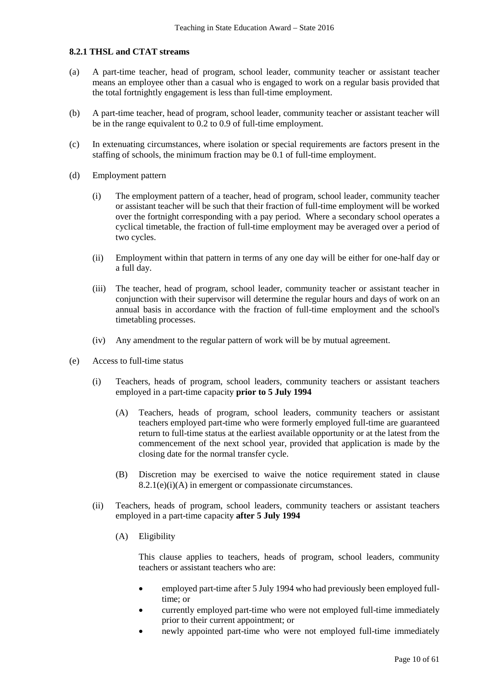## **8.2.1 THSL and CTAT streams**

- (a) A part-time teacher, head of program, school leader, community teacher or assistant teacher means an employee other than a casual who is engaged to work on a regular basis provided that the total fortnightly engagement is less than full-time employment.
- (b) A part-time teacher, head of program, school leader, community teacher or assistant teacher will be in the range equivalent to 0.2 to 0.9 of full-time employment.
- (c) In extenuating circumstances, where isolation or special requirements are factors present in the staffing of schools, the minimum fraction may be 0.1 of full-time employment.
- (d) Employment pattern
	- (i) The employment pattern of a teacher, head of program, school leader, community teacher or assistant teacher will be such that their fraction of full-time employment will be worked over the fortnight corresponding with a pay period. Where a secondary school operates a cyclical timetable, the fraction of full-time employment may be averaged over a period of two cycles.
	- (ii) Employment within that pattern in terms of any one day will be either for one-half day or a full day.
	- (iii) The teacher, head of program, school leader, community teacher or assistant teacher in conjunction with their supervisor will determine the regular hours and days of work on an annual basis in accordance with the fraction of full-time employment and the school's timetabling processes.
	- (iv) Any amendment to the regular pattern of work will be by mutual agreement.
- (e) Access to full-time status
	- (i) Teachers, heads of program, school leaders, community teachers or assistant teachers employed in a part-time capacity **prior to 5 July 1994**
		- (A) Teachers, heads of program, school leaders, community teachers or assistant teachers employed part-time who were formerly employed full-time are guaranteed return to full-time status at the earliest available opportunity or at the latest from the commencement of the next school year, provided that application is made by the closing date for the normal transfer cycle.
		- (B) Discretion may be exercised to waive the notice requirement stated in clause  $8.2.1(e)(i)$ (A) in emergent or compassionate circumstances.
	- (ii) Teachers, heads of program, school leaders, community teachers or assistant teachers employed in a part-time capacity **after 5 July 1994**
		- (A) Eligibility

This clause applies to teachers, heads of program, school leaders, community teachers or assistant teachers who are:

- employed part-time after 5 July 1994 who had previously been employed fulltime; or
- currently employed part-time who were not employed full-time immediately prior to their current appointment; or
- newly appointed part-time who were not employed full-time immediately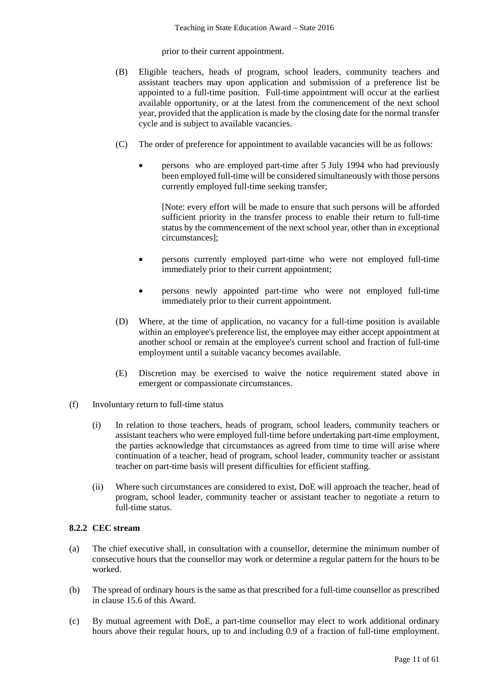prior to their current appointment.

- (B) Eligible teachers, heads of program, school leaders, community teachers and assistant teachers may upon application and submission of a preference list be appointed to a full-time position. Full-time appointment will occur at the earliest available opportunity, or at the latest from the commencement of the next school year, provided that the application is made by the closing date for the normal transfer cycle and is subject to available vacancies.
- (C) The order of preference for appointment to available vacancies will be as follows:
	- persons who are employed part-time after 5 July 1994 who had previously been employed full-time will be considered simultaneously with those persons currently employed full-time seeking transfer;

[Note: every effort will be made to ensure that such persons will be afforded sufficient priority in the transfer process to enable their return to full-time status by the commencement of the next school year, other than in exceptional circumstances];

- persons currently employed part-time who were not employed full-time immediately prior to their current appointment;
- persons newly appointed part-time who were not employed full-time immediately prior to their current appointment.
- (D) Where, at the time of application, no vacancy for a full-time position is available within an employee's preference list, the employee may either accept appointment at another school or remain at the employee's current school and fraction of full-time employment until a suitable vacancy becomes available.
- (E) Discretion may be exercised to waive the notice requirement stated above in emergent or compassionate circumstances.
- (f) Involuntary return to full-time status
	- (i) In relation to those teachers, heads of program, school leaders, community teachers or assistant teachers who were employed full-time before undertaking part-time employment, the parties acknowledge that circumstances as agreed from time to time will arise where continuation of a teacher, head of program, school leader, community teacher or assistant teacher on part-time basis will present difficulties for efficient staffing.
	- (ii) Where such circumstances are considered to exist, DoE will approach the teacher, head of program, school leader, community teacher or assistant teacher to negotiate a return to full-time status.

## **8.2.2 CEC stream**

- (a) The chief executive shall, in consultation with a counsellor, determine the minimum number of consecutive hours that the counsellor may work or determine a regular pattern for the hours to be worked.
- (b) The spread of ordinary hours is the same as that prescribed for a full-time counsellor as prescribed in clause 15.6 of this Award.
- (c) By mutual agreement with DoE, a part-time counsellor may elect to work additional ordinary hours above their regular hours, up to and including 0.9 of a fraction of full-time employment.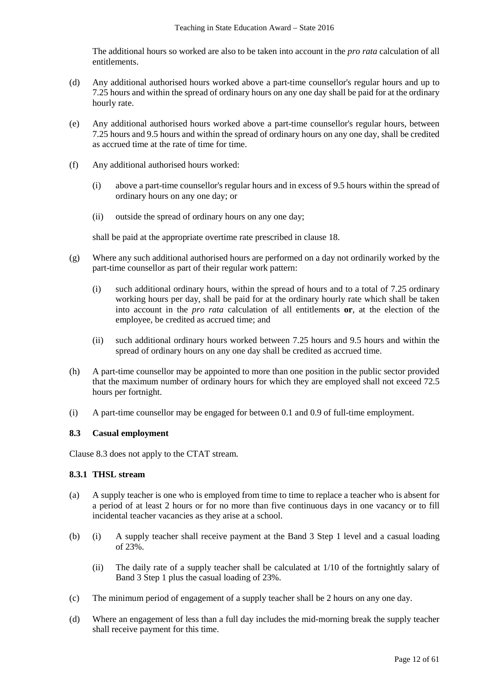The additional hours so worked are also to be taken into account in the *pro rata* calculation of all entitlements.

- (d) Any additional authorised hours worked above a part-time counsellor's regular hours and up to 7.25 hours and within the spread of ordinary hours on any one day shall be paid for at the ordinary hourly rate.
- (e) Any additional authorised hours worked above a part-time counsellor's regular hours, between 7.25 hours and 9.5 hours and within the spread of ordinary hours on any one day, shall be credited as accrued time at the rate of time for time.
- (f) Any additional authorised hours worked:
	- (i) above a part-time counsellor's regular hours and in excess of 9.5 hours within the spread of ordinary hours on any one day; or
	- (ii) outside the spread of ordinary hours on any one day;

shall be paid at the appropriate overtime rate prescribed in clause 18.

- (g) Where any such additional authorised hours are performed on a day not ordinarily worked by the part-time counsellor as part of their regular work pattern:
	- (i) such additional ordinary hours, within the spread of hours and to a total of 7.25 ordinary working hours per day, shall be paid for at the ordinary hourly rate which shall be taken into account in the *pro rata* calculation of all entitlements **or**, at the election of the employee, be credited as accrued time; and
	- (ii) such additional ordinary hours worked between 7.25 hours and 9.5 hours and within the spread of ordinary hours on any one day shall be credited as accrued time.
- (h) A part-time counsellor may be appointed to more than one position in the public sector provided that the maximum number of ordinary hours for which they are employed shall not exceed 72.5 hours per fortnight.
- (i) A part-time counsellor may be engaged for between 0.1 and 0.9 of full-time employment.

## **8.3 Casual employment**

Clause 8.3 does not apply to the CTAT stream.

## **8.3.1 THSL stream**

- (a) A supply teacher is one who is employed from time to time to replace a teacher who is absent for a period of at least 2 hours or for no more than five continuous days in one vacancy or to fill incidental teacher vacancies as they arise at a school.
- (b) (i) A supply teacher shall receive payment at the Band 3 Step 1 level and a casual loading of 23%.
	- (ii) The daily rate of a supply teacher shall be calculated at 1/10 of the fortnightly salary of Band 3 Step 1 plus the casual loading of 23%.
- (c) The minimum period of engagement of a supply teacher shall be 2 hours on any one day.
- (d) Where an engagement of less than a full day includes the mid-morning break the supply teacher shall receive payment for this time.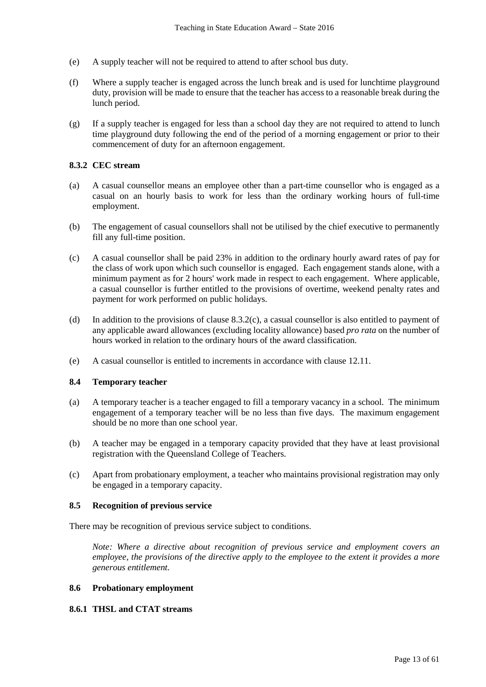- (e) A supply teacher will not be required to attend to after school bus duty.
- (f) Where a supply teacher is engaged across the lunch break and is used for lunchtime playground duty, provision will be made to ensure that the teacher has access to a reasonable break during the lunch period.
- (g) If a supply teacher is engaged for less than a school day they are not required to attend to lunch time playground duty following the end of the period of a morning engagement or prior to their commencement of duty for an afternoon engagement.

## **8.3.2 CEC stream**

- (a) A casual counsellor means an employee other than a part-time counsellor who is engaged as a casual on an hourly basis to work for less than the ordinary working hours of full-time employment.
- (b) The engagement of casual counsellors shall not be utilised by the chief executive to permanently fill any full-time position.
- (c) A casual counsellor shall be paid 23% in addition to the ordinary hourly award rates of pay for the class of work upon which such counsellor is engaged. Each engagement stands alone, with a minimum payment as for 2 hours' work made in respect to each engagement. Where applicable, a casual counsellor is further entitled to the provisions of overtime, weekend penalty rates and payment for work performed on public holidays.
- (d) In addition to the provisions of clause 8.3.2(c), a casual counsellor is also entitled to payment of any applicable award allowances (excluding locality allowance) based *pro rata* on the number of hours worked in relation to the ordinary hours of the award classification.
- (e) A casual counsellor is entitled to increments in accordance with clause 12.11.

## **8.4 Temporary teacher**

- (a) A temporary teacher is a teacher engaged to fill a temporary vacancy in a school. The minimum engagement of a temporary teacher will be no less than five days. The maximum engagement should be no more than one school year.
- (b) A teacher may be engaged in a temporary capacity provided that they have at least provisional registration with the Queensland College of Teachers.
- (c) Apart from probationary employment, a teacher who maintains provisional registration may only be engaged in a temporary capacity.

## **8.5 Recognition of previous service**

There may be recognition of previous service subject to conditions.

*Note: Where a directive about recognition of previous service and employment covers an employee, the provisions of the directive apply to the employee to the extent it provides a more generous entitlement.*

#### **8.6 Probationary employment**

#### **8.6.1 THSL and CTAT streams**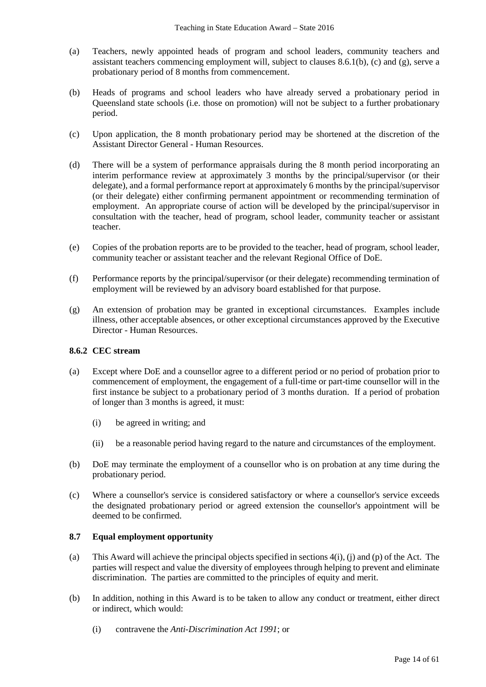- (a) Teachers, newly appointed heads of program and school leaders, community teachers and assistant teachers commencing employment will, subject to clauses  $8.6.1(b)$ , (c) and (g), serve a probationary period of 8 months from commencement.
- (b) Heads of programs and school leaders who have already served a probationary period in Queensland state schools (i.e. those on promotion) will not be subject to a further probationary period.
- (c) Upon application, the 8 month probationary period may be shortened at the discretion of the Assistant Director General - Human Resources.
- (d) There will be a system of performance appraisals during the 8 month period incorporating an interim performance review at approximately 3 months by the principal/supervisor (or their delegate), and a formal performance report at approximately 6 months by the principal/supervisor (or their delegate) either confirming permanent appointment or recommending termination of employment. An appropriate course of action will be developed by the principal/supervisor in consultation with the teacher, head of program, school leader, community teacher or assistant teacher.
- (e) Copies of the probation reports are to be provided to the teacher, head of program, school leader, community teacher or assistant teacher and the relevant Regional Office of DoE.
- (f) Performance reports by the principal/supervisor (or their delegate) recommending termination of employment will be reviewed by an advisory board established for that purpose.
- (g) An extension of probation may be granted in exceptional circumstances. Examples include illness, other acceptable absences, or other exceptional circumstances approved by the Executive Director - Human Resources.

## **8.6.2 CEC stream**

- (a) Except where DoE and a counsellor agree to a different period or no period of probation prior to commencement of employment, the engagement of a full-time or part-time counsellor will in the first instance be subject to a probationary period of 3 months duration. If a period of probation of longer than 3 months is agreed, it must:
	- (i) be agreed in writing; and
	- (ii) be a reasonable period having regard to the nature and circumstances of the employment.
- (b) DoE may terminate the employment of a counsellor who is on probation at any time during the probationary period.
- (c) Where a counsellor's service is considered satisfactory or where a counsellor's service exceeds the designated probationary period or agreed extension the counsellor's appointment will be deemed to be confirmed.

## **8.7 Equal employment opportunity**

- (a) This Award will achieve the principal objects specified in sections  $4(i)$ , (i) and (p) of the Act. The parties will respect and value the diversity of employees through helping to prevent and eliminate discrimination. The parties are committed to the principles of equity and merit.
- (b) In addition, nothing in this Award is to be taken to allow any conduct or treatment, either direct or indirect, which would:
	- (i) contravene the *Anti-Discrimination Act 1991*; or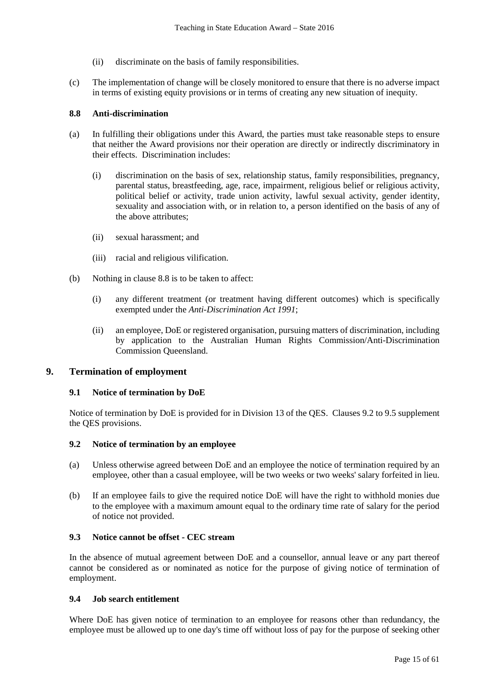- (ii) discriminate on the basis of family responsibilities.
- (c) The implementation of change will be closely monitored to ensure that there is no adverse impact in terms of existing equity provisions or in terms of creating any new situation of inequity.

## **8.8 Anti-discrimination**

- (a) In fulfilling their obligations under this Award, the parties must take reasonable steps to ensure that neither the Award provisions nor their operation are directly or indirectly discriminatory in their effects. Discrimination includes:
	- (i) discrimination on the basis of sex, relationship status, family responsibilities, pregnancy, parental status, breastfeeding, age, race, impairment, religious belief or religious activity, political belief or activity, trade union activity, lawful sexual activity, gender identity, sexuality and association with, or in relation to, a person identified on the basis of any of the above attributes;
	- (ii) sexual harassment; and
	- (iii) racial and religious vilification.
- (b) Nothing in clause 8.8 is to be taken to affect:
	- (i) any different treatment (or treatment having different outcomes) which is specifically exempted under the *Anti-Discrimination Act 1991*;
	- (ii) an employee, DoE or registered organisation, pursuing matters of discrimination, including by application to the Australian Human Rights Commission/Anti-Discrimination Commission Queensland.

## **9. Termination of employment**

#### **9.1 Notice of termination by DoE**

Notice of termination by DoE is provided for in Division 13 of the QES. Clauses 9.2 to 9.5 supplement the QES provisions.

#### **9.2 Notice of termination by an employee**

- (a) Unless otherwise agreed between DoE and an employee the notice of termination required by an employee, other than a casual employee, will be two weeks or two weeks' salary forfeited in lieu.
- (b) If an employee fails to give the required notice DoE will have the right to withhold monies due to the employee with a maximum amount equal to the ordinary time rate of salary for the period of notice not provided.

## **9.3 Notice cannot be offset - CEC stream**

In the absence of mutual agreement between DoE and a counsellor, annual leave or any part thereof cannot be considered as or nominated as notice for the purpose of giving notice of termination of employment.

#### **9.4 Job search entitlement**

Where DoE has given notice of termination to an employee for reasons other than redundancy, the employee must be allowed up to one day's time off without loss of pay for the purpose of seeking other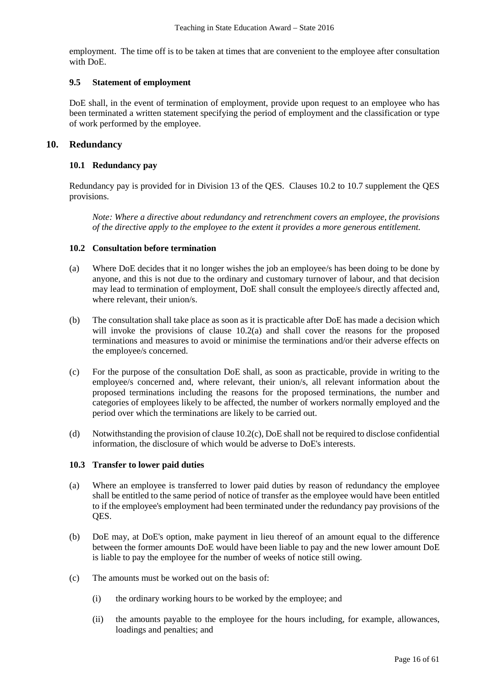employment. The time off is to be taken at times that are convenient to the employee after consultation with DoE.

## **9.5 Statement of employment**

DoE shall, in the event of termination of employment, provide upon request to an employee who has been terminated a written statement specifying the period of employment and the classification or type of work performed by the employee.

## **10. Redundancy**

### **10.1 Redundancy pay**

Redundancy pay is provided for in Division 13 of the QES. Clauses 10.2 to 10.7 supplement the QES provisions.

*Note: Where a directive about redundancy and retrenchment covers an employee, the provisions of the directive apply to the employee to the extent it provides a more generous entitlement.*

### **10.2 Consultation before termination**

- (a) Where DoE decides that it no longer wishes the job an employee/s has been doing to be done by anyone, and this is not due to the ordinary and customary turnover of labour, and that decision may lead to termination of employment, DoE shall consult the employee/s directly affected and, where relevant, their union/s.
- (b) The consultation shall take place as soon as it is practicable after DoE has made a decision which will invoke the provisions of clause 10.2(a) and shall cover the reasons for the proposed terminations and measures to avoid or minimise the terminations and/or their adverse effects on the employee/s concerned.
- (c) For the purpose of the consultation DoE shall, as soon as practicable, provide in writing to the employee/s concerned and, where relevant, their union/s, all relevant information about the proposed terminations including the reasons for the proposed terminations, the number and categories of employees likely to be affected, the number of workers normally employed and the period over which the terminations are likely to be carried out.
- (d) Notwithstanding the provision of clause 10.2(c), DoE shall not be required to disclose confidential information, the disclosure of which would be adverse to DoE's interests.

#### **10.3 Transfer to lower paid duties**

- (a) Where an employee is transferred to lower paid duties by reason of redundancy the employee shall be entitled to the same period of notice of transfer as the employee would have been entitled to if the employee's employment had been terminated under the redundancy pay provisions of the QES.
- (b) DoE may, at DoE's option, make payment in lieu thereof of an amount equal to the difference between the former amounts DoE would have been liable to pay and the new lower amount DoE is liable to pay the employee for the number of weeks of notice still owing.
- (c) The amounts must be worked out on the basis of:
	- (i) the ordinary working hours to be worked by the employee; and
	- (ii) the amounts payable to the employee for the hours including, for example, allowances, loadings and penalties; and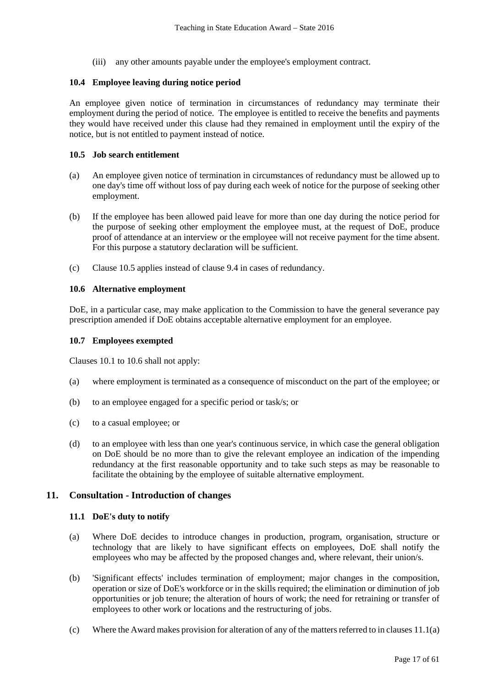(iii) any other amounts payable under the employee's employment contract.

## **10.4 Employee leaving during notice period**

An employee given notice of termination in circumstances of redundancy may terminate their employment during the period of notice. The employee is entitled to receive the benefits and payments they would have received under this clause had they remained in employment until the expiry of the notice, but is not entitled to payment instead of notice.

## **10.5 Job search entitlement**

- (a) An employee given notice of termination in circumstances of redundancy must be allowed up to one day's time off without loss of pay during each week of notice for the purpose of seeking other employment.
- (b) If the employee has been allowed paid leave for more than one day during the notice period for the purpose of seeking other employment the employee must, at the request of DoE, produce proof of attendance at an interview or the employee will not receive payment for the time absent. For this purpose a statutory declaration will be sufficient.
- (c) Clause 10.5 applies instead of clause 9.4 in cases of redundancy.

### **10.6 Alternative employment**

DoE, in a particular case, may make application to the Commission to have the general severance pay prescription amended if DoE obtains acceptable alternative employment for an employee.

#### **10.7 Employees exempted**

Clauses 10.1 to 10.6 shall not apply:

- (a) where employment is terminated as a consequence of misconduct on the part of the employee; or
- (b) to an employee engaged for a specific period or task/s; or
- (c) to a casual employee; or
- (d) to an employee with less than one year's continuous service, in which case the general obligation on DoE should be no more than to give the relevant employee an indication of the impending redundancy at the first reasonable opportunity and to take such steps as may be reasonable to facilitate the obtaining by the employee of suitable alternative employment.

## **11. Consultation - Introduction of changes**

#### **11.1 DoE's duty to notify**

- (a) Where DoE decides to introduce changes in production, program, organisation, structure or technology that are likely to have significant effects on employees, DoE shall notify the employees who may be affected by the proposed changes and, where relevant, their union/s.
- (b) 'Significant effects' includes termination of employment; major changes in the composition, operation or size of DoE's workforce or in the skills required; the elimination or diminution of job opportunities or job tenure; the alteration of hours of work; the need for retraining or transfer of employees to other work or locations and the restructuring of jobs.
- (c) Where the Award makes provision for alteration of any of the matters referred to in clauses 11.1(a)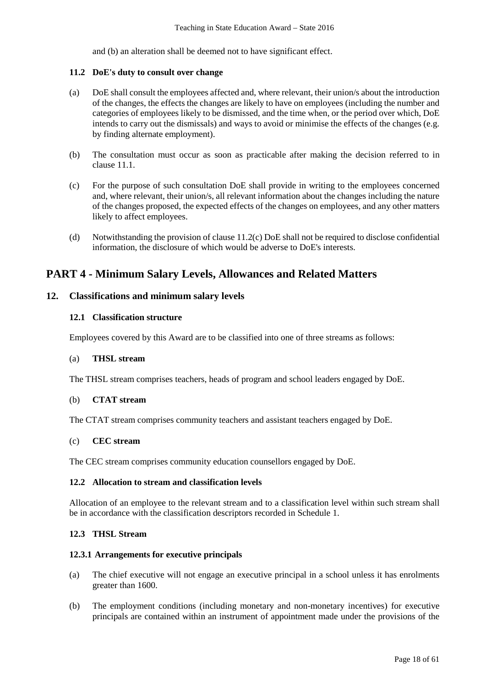and (b) an alteration shall be deemed not to have significant effect.

## **11.2 DoE's duty to consult over change**

- (a) DoE shall consult the employees affected and, where relevant, their union/s about the introduction of the changes, the effects the changes are likely to have on employees (including the number and categories of employees likely to be dismissed, and the time when, or the period over which, DoE intends to carry out the dismissals) and ways to avoid or minimise the effects of the changes (e.g. by finding alternate employment).
- (b) The consultation must occur as soon as practicable after making the decision referred to in clause 11.1.
- (c) For the purpose of such consultation DoE shall provide in writing to the employees concerned and, where relevant, their union/s, all relevant information about the changes including the nature of the changes proposed, the expected effects of the changes on employees, and any other matters likely to affect employees.
- (d) Notwithstanding the provision of clause 11.2(c) DoE shall not be required to disclose confidential information, the disclosure of which would be adverse to DoE's interests.

# **PART 4 - Minimum Salary Levels, Allowances and Related Matters**

## **12. Classifications and minimum salary levels**

## **12.1 Classification structure**

Employees covered by this Award are to be classified into one of three streams as follows:

#### (a) **THSL stream**

The THSL stream comprises teachers, heads of program and school leaders engaged by DoE.

#### (b) **CTAT stream**

The CTAT stream comprises community teachers and assistant teachers engaged by DoE.

## (c) **CEC stream**

The CEC stream comprises community education counsellors engaged by DoE.

#### **12.2 Allocation to stream and classification levels**

Allocation of an employee to the relevant stream and to a classification level within such stream shall be in accordance with the classification descriptors recorded in Schedule 1.

## **12.3 THSL Stream**

#### **12.3.1 Arrangements for executive principals**

- (a) The chief executive will not engage an executive principal in a school unless it has enrolments greater than 1600.
- (b) The employment conditions (including monetary and non-monetary incentives) for executive principals are contained within an instrument of appointment made under the provisions of the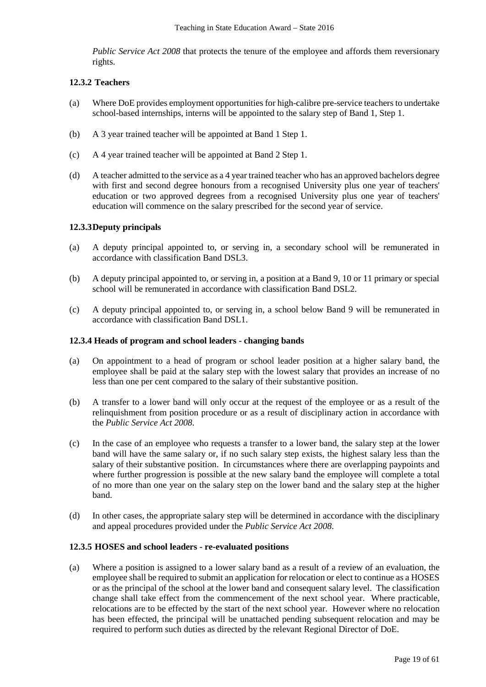*Public Service Act 2008* that protects the tenure of the employee and affords them reversionary rights.

## **12.3.2 Teachers**

- (a) Where DoE provides employment opportunities for high-calibre pre-service teachers to undertake school-based internships, interns will be appointed to the salary step of Band 1, Step 1.
- (b) A 3 year trained teacher will be appointed at Band 1 Step 1.
- (c) A 4 year trained teacher will be appointed at Band 2 Step 1.
- (d) A teacher admitted to the service as a 4 year trained teacher who has an approved bachelors degree with first and second degree honours from a recognised University plus one year of teachers' education or two approved degrees from a recognised University plus one year of teachers' education will commence on the salary prescribed for the second year of service.

## **12.3.3Deputy principals**

- (a) A deputy principal appointed to, or serving in, a secondary school will be remunerated in accordance with classification Band DSL3.
- (b) A deputy principal appointed to, or serving in, a position at a Band 9, 10 or 11 primary or special school will be remunerated in accordance with classification Band DSL2.
- (c) A deputy principal appointed to, or serving in, a school below Band 9 will be remunerated in accordance with classification Band DSL1.

#### **12.3.4 Heads of program and school leaders - changing bands**

- (a) On appointment to a head of program or school leader position at a higher salary band, the employee shall be paid at the salary step with the lowest salary that provides an increase of no less than one per cent compared to the salary of their substantive position.
- (b) A transfer to a lower band will only occur at the request of the employee or as a result of the relinquishment from position procedure or as a result of disciplinary action in accordance with the *Public Service Act 2008*.
- (c) In the case of an employee who requests a transfer to a lower band, the salary step at the lower band will have the same salary or, if no such salary step exists, the highest salary less than the salary of their substantive position. In circumstances where there are overlapping paypoints and where further progression is possible at the new salary band the employee will complete a total of no more than one year on the salary step on the lower band and the salary step at the higher band.
- (d) In other cases, the appropriate salary step will be determined in accordance with the disciplinary and appeal procedures provided under the *Public Service Act 2008*.

#### **12.3.5 HOSES and school leaders - re-evaluated positions**

(a) Where a position is assigned to a lower salary band as a result of a review of an evaluation, the employee shall be required to submit an application for relocation or elect to continue as a HOSES or as the principal of the school at the lower band and consequent salary level. The classification change shall take effect from the commencement of the next school year. Where practicable, relocations are to be effected by the start of the next school year. However where no relocation has been effected, the principal will be unattached pending subsequent relocation and may be required to perform such duties as directed by the relevant Regional Director of DoE.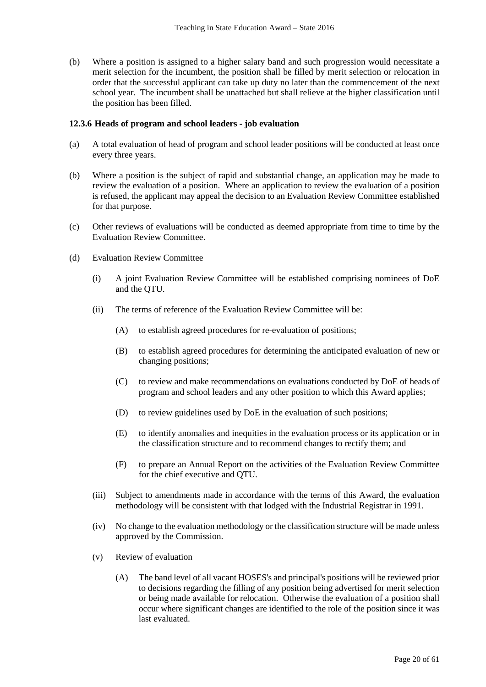(b) Where a position is assigned to a higher salary band and such progression would necessitate a merit selection for the incumbent, the position shall be filled by merit selection or relocation in order that the successful applicant can take up duty no later than the commencement of the next school year. The incumbent shall be unattached but shall relieve at the higher classification until the position has been filled.

#### **12.3.6 Heads of program and school leaders - job evaluation**

- (a) A total evaluation of head of program and school leader positions will be conducted at least once every three years.
- (b) Where a position is the subject of rapid and substantial change, an application may be made to review the evaluation of a position. Where an application to review the evaluation of a position is refused, the applicant may appeal the decision to an Evaluation Review Committee established for that purpose.
- (c) Other reviews of evaluations will be conducted as deemed appropriate from time to time by the Evaluation Review Committee.
- (d) Evaluation Review Committee
	- (i) A joint Evaluation Review Committee will be established comprising nominees of DoE and the QTU.
	- (ii) The terms of reference of the Evaluation Review Committee will be:
		- (A) to establish agreed procedures for re-evaluation of positions;
		- (B) to establish agreed procedures for determining the anticipated evaluation of new or changing positions;
		- (C) to review and make recommendations on evaluations conducted by DoE of heads of program and school leaders and any other position to which this Award applies;
		- (D) to review guidelines used by DoE in the evaluation of such positions;
		- (E) to identify anomalies and inequities in the evaluation process or its application or in the classification structure and to recommend changes to rectify them; and
		- (F) to prepare an Annual Report on the activities of the Evaluation Review Committee for the chief executive and QTU.
	- (iii) Subject to amendments made in accordance with the terms of this Award, the evaluation methodology will be consistent with that lodged with the Industrial Registrar in 1991.
	- (iv) No change to the evaluation methodology or the classification structure will be made unless approved by the Commission.
	- (v) Review of evaluation
		- (A) The band level of all vacant HOSES's and principal's positions will be reviewed prior to decisions regarding the filling of any position being advertised for merit selection or being made available for relocation. Otherwise the evaluation of a position shall occur where significant changes are identified to the role of the position since it was last evaluated.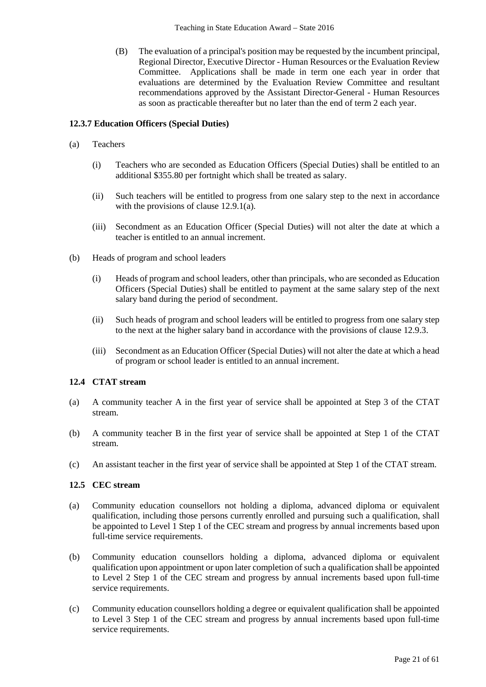(B) The evaluation of a principal's position may be requested by the incumbent principal, Regional Director, Executive Director - Human Resources or the Evaluation Review Committee. Applications shall be made in term one each year in order that evaluations are determined by the Evaluation Review Committee and resultant recommendations approved by the Assistant Director-General - Human Resources as soon as practicable thereafter but no later than the end of term 2 each year.

## **12.3.7 Education Officers (Special Duties)**

- (a) Teachers
	- (i) Teachers who are seconded as Education Officers (Special Duties) shall be entitled to an additional \$355.80 per fortnight which shall be treated as salary.
	- (ii) Such teachers will be entitled to progress from one salary step to the next in accordance with the provisions of clause 12.9.1(a).
	- (iii) Secondment as an Education Officer (Special Duties) will not alter the date at which a teacher is entitled to an annual increment.
- (b) Heads of program and school leaders
	- (i) Heads of program and school leaders, other than principals, who are seconded as Education Officers (Special Duties) shall be entitled to payment at the same salary step of the next salary band during the period of secondment.
	- (ii) Such heads of program and school leaders will be entitled to progress from one salary step to the next at the higher salary band in accordance with the provisions of clause 12.9.3.
	- (iii) Secondment as an Education Officer (Special Duties) will not alter the date at which a head of program or school leader is entitled to an annual increment.

## **12.4 CTAT stream**

- (a) A community teacher A in the first year of service shall be appointed at Step 3 of the CTAT stream.
- (b) A community teacher B in the first year of service shall be appointed at Step 1 of the CTAT stream.
- (c) An assistant teacher in the first year of service shall be appointed at Step 1 of the CTAT stream.

## **12.5 CEC stream**

- (a) Community education counsellors not holding a diploma, advanced diploma or equivalent qualification, including those persons currently enrolled and pursuing such a qualification, shall be appointed to Level 1 Step 1 of the CEC stream and progress by annual increments based upon full-time service requirements.
- (b) Community education counsellors holding a diploma, advanced diploma or equivalent qualification upon appointment or upon later completion of such a qualification shall be appointed to Level 2 Step 1 of the CEC stream and progress by annual increments based upon full-time service requirements.
- (c) Community education counsellors holding a degree or equivalent qualification shall be appointed to Level 3 Step 1 of the CEC stream and progress by annual increments based upon full-time service requirements.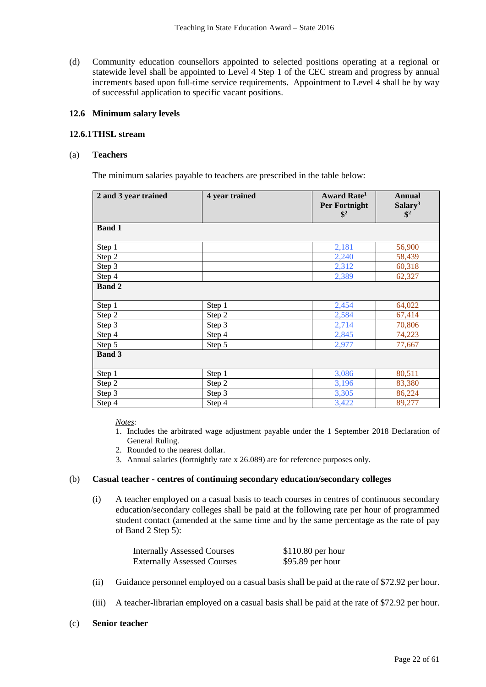(d) Community education counsellors appointed to selected positions operating at a regional or statewide level shall be appointed to Level 4 Step 1 of the CEC stream and progress by annual increments based upon full-time service requirements. Appointment to Level 4 shall be by way of successful application to specific vacant positions.

### **12.6 Minimum salary levels**

#### **12.6.1THSL stream**

#### (a) **Teachers**

The minimum salaries payable to teachers are prescribed in the table below:

| 2 and 3 year trained | 4 year trained | Award Rate <sup>1</sup><br><b>Per Fortnight</b><br>$\mathbf{\$}^2$ | <b>Annual</b><br>Salary <sup>3</sup><br>$\mathbb{S}^2$ |
|----------------------|----------------|--------------------------------------------------------------------|--------------------------------------------------------|
| <b>Band 1</b>        |                |                                                                    |                                                        |
| Step 1               |                | 2,181                                                              | 56,900                                                 |
| Step 2               |                | 2,240                                                              | 58,439                                                 |
| Step 3               |                | 2,312                                                              | 60,318                                                 |
| Step 4               |                | 2,389                                                              | 62,327                                                 |
| <b>Band 2</b>        |                |                                                                    |                                                        |
| Step 1               | Step 1         | 2,454                                                              | 64,022                                                 |
| Step 2               | Step 2         | 2,584                                                              | 67,414                                                 |
| Step 3               | Step 3         | 2,714                                                              | 70,806                                                 |
| Step 4               | Step 4         | 2,845                                                              | 74,223                                                 |
| Step 5               | Step 5         | 2,977                                                              | 77,667                                                 |
| <b>Band 3</b>        |                |                                                                    |                                                        |
| Step 1               | Step 1         | 3,086                                                              | 80,511                                                 |
| Step 2               | Step 2         | 3,196                                                              | 83,380                                                 |
| Step 3               | Step 3         | 3,305                                                              | 86,224                                                 |
| Step 4               | Step 4         | 3,422                                                              | 89,277                                                 |

*Notes:*

- 1. Includes the arbitrated wage adjustment payable under the 1 September 2018 Declaration of General Ruling.
- 2. Rounded to the nearest dollar.
- 3. Annual salaries (fortnightly rate x 26.089) are for reference purposes only.

#### (b) **Casual teacher - centres of continuing secondary education/secondary colleges**

(i) A teacher employed on a casual basis to teach courses in centres of continuous secondary education/secondary colleges shall be paid at the following rate per hour of programmed student contact (amended at the same time and by the same percentage as the rate of pay of Band 2 Step 5):

| <b>Internally Assessed Courses</b> | $$110.80$ per hour |
|------------------------------------|--------------------|
| <b>Externally Assessed Courses</b> | $$95.89$ per hour  |

- (ii) Guidance personnel employed on a casual basis shall be paid at the rate of \$72.92 per hour.
- (iii) A teacher-librarian employed on a casual basis shall be paid at the rate of \$72.92 per hour.
- (c) **Senior teacher**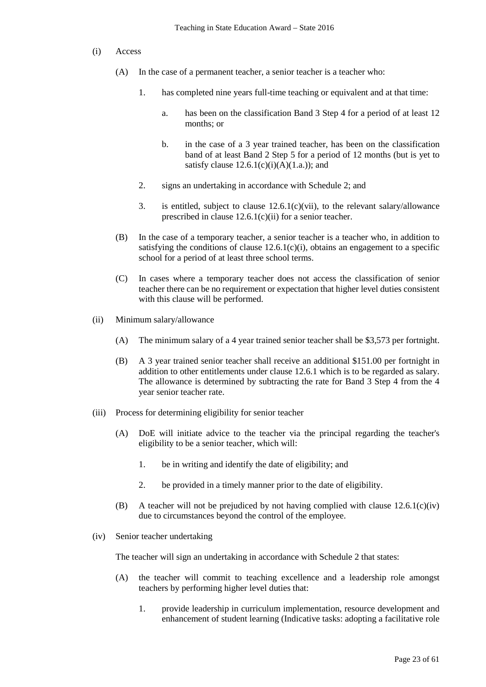#### (i) Access

- (A) In the case of a permanent teacher, a senior teacher is a teacher who:
	- 1. has completed nine years full-time teaching or equivalent and at that time:
		- a. has been on the classification Band 3 Step 4 for a period of at least 12 months; or
		- b. in the case of a 3 year trained teacher, has been on the classification band of at least Band 2 Step 5 for a period of 12 months (but is yet to satisfy clause  $12.6.1(c)(i)(A)(1.a.);$  and
	- 2. signs an undertaking in accordance with Schedule 2; and
	- 3. is entitled, subject to clause 12.6.1(c)(vii), to the relevant salary/allowance prescribed in clause 12.6.1(c)(ii) for a senior teacher.
- (B) In the case of a temporary teacher, a senior teacher is a teacher who, in addition to satisfying the conditions of clause  $12.6.1(c)(i)$ , obtains an engagement to a specific school for a period of at least three school terms.
- (C) In cases where a temporary teacher does not access the classification of senior teacher there can be no requirement or expectation that higher level duties consistent with this clause will be performed.
- (ii) Minimum salary/allowance
	- (A) The minimum salary of a 4 year trained senior teacher shall be \$3,573 per fortnight.
	- (B) A 3 year trained senior teacher shall receive an additional \$151.00 per fortnight in addition to other entitlements under clause 12.6.1 which is to be regarded as salary. The allowance is determined by subtracting the rate for Band 3 Step 4 from the 4 year senior teacher rate.
- (iii) Process for determining eligibility for senior teacher
	- (A) DoE will initiate advice to the teacher via the principal regarding the teacher's eligibility to be a senior teacher, which will:
		- 1. be in writing and identify the date of eligibility; and
		- 2. be provided in a timely manner prior to the date of eligibility.
	- (B) A teacher will not be prejudiced by not having complied with clause  $12.6.1(c)(iv)$ due to circumstances beyond the control of the employee.
- (iv) Senior teacher undertaking

The teacher will sign an undertaking in accordance with Schedule 2 that states:

- (A) the teacher will commit to teaching excellence and a leadership role amongst teachers by performing higher level duties that:
	- 1. provide leadership in curriculum implementation, resource development and enhancement of student learning (Indicative tasks: adopting a facilitative role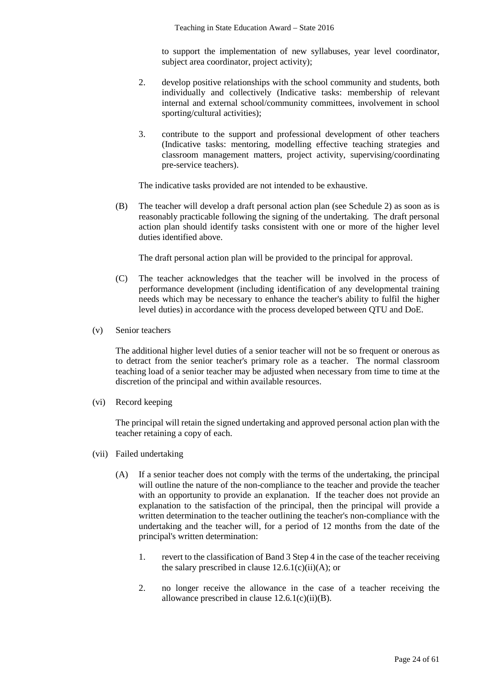to support the implementation of new syllabuses, year level coordinator, subject area coordinator, project activity);

- 2. develop positive relationships with the school community and students, both individually and collectively (Indicative tasks: membership of relevant internal and external school/community committees, involvement in school sporting/cultural activities);
- 3. contribute to the support and professional development of other teachers (Indicative tasks: mentoring, modelling effective teaching strategies and classroom management matters, project activity, supervising/coordinating pre-service teachers).

The indicative tasks provided are not intended to be exhaustive.

(B) The teacher will develop a draft personal action plan (see Schedule 2) as soon as is reasonably practicable following the signing of the undertaking. The draft personal action plan should identify tasks consistent with one or more of the higher level duties identified above.

The draft personal action plan will be provided to the principal for approval.

- (C) The teacher acknowledges that the teacher will be involved in the process of performance development (including identification of any developmental training needs which may be necessary to enhance the teacher's ability to fulfil the higher level duties) in accordance with the process developed between QTU and DoE.
- (v) Senior teachers

The additional higher level duties of a senior teacher will not be so frequent or onerous as to detract from the senior teacher's primary role as a teacher. The normal classroom teaching load of a senior teacher may be adjusted when necessary from time to time at the discretion of the principal and within available resources.

(vi) Record keeping

The principal will retain the signed undertaking and approved personal action plan with the teacher retaining a copy of each.

- (vii) Failed undertaking
	- (A) If a senior teacher does not comply with the terms of the undertaking, the principal will outline the nature of the non-compliance to the teacher and provide the teacher with an opportunity to provide an explanation. If the teacher does not provide an explanation to the satisfaction of the principal, then the principal will provide a written determination to the teacher outlining the teacher's non-compliance with the undertaking and the teacher will, for a period of 12 months from the date of the principal's written determination:
		- 1. revert to the classification of Band 3 Step 4 in the case of the teacher receiving the salary prescribed in clause  $12.6.1(c)(ii)(A)$ ; or
		- 2. no longer receive the allowance in the case of a teacher receiving the allowance prescribed in clause  $12.6.1(c)(ii)(B)$ .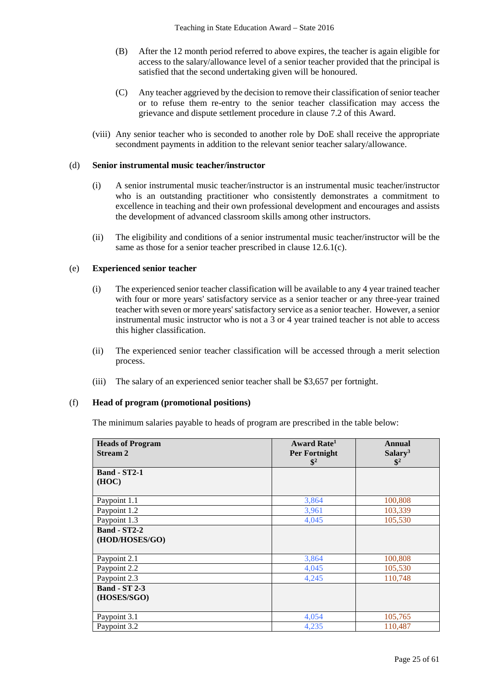- (B) After the 12 month period referred to above expires, the teacher is again eligible for access to the salary/allowance level of a senior teacher provided that the principal is satisfied that the second undertaking given will be honoured.
- (C) Any teacher aggrieved by the decision to remove their classification of senior teacher or to refuse them re-entry to the senior teacher classification may access the grievance and dispute settlement procedure in clause 7.2 of this Award.
- (viii) Any senior teacher who is seconded to another role by DoE shall receive the appropriate secondment payments in addition to the relevant senior teacher salary/allowance.

#### (d) **Senior instrumental music teacher/instructor**

- (i) A senior instrumental music teacher/instructor is an instrumental music teacher/instructor who is an outstanding practitioner who consistently demonstrates a commitment to excellence in teaching and their own professional development and encourages and assists the development of advanced classroom skills among other instructors.
- (ii) The eligibility and conditions of a senior instrumental music teacher/instructor will be the same as those for a senior teacher prescribed in clause 12.6.1(c).

#### (e) **Experienced senior teacher**

- (i) The experienced senior teacher classification will be available to any 4 year trained teacher with four or more years' satisfactory service as a senior teacher or any three-year trained teacher with seven or more years'satisfactory service as a senior teacher. However, a senior instrumental music instructor who is not a 3 or 4 year trained teacher is not able to access this higher classification.
- (ii) The experienced senior teacher classification will be accessed through a merit selection process.
- (iii) The salary of an experienced senior teacher shall be \$3,657 per fortnight.

#### (f) **Head of program (promotional positions)**

The minimum salaries payable to heads of program are prescribed in the table below:

| <b>Heads of Program</b> | Award Rate <sup>1</sup>                 | <b>Annual</b>                         |
|-------------------------|-----------------------------------------|---------------------------------------|
| <b>Stream 2</b>         | <b>Per Fortnight</b><br>$\mathbf{\$}^2$ | Salary <sup>3</sup><br>$\mathbb{S}^2$ |
| <b>Band - ST2-1</b>     |                                         |                                       |
| (HOC)                   |                                         |                                       |
|                         |                                         |                                       |
| Paypoint 1.1            | 3,864                                   | 100,808                               |
| Paypoint 1.2            | 3,961                                   | 103,339                               |
| Paypoint 1.3            | 4,045                                   | 105,530                               |
| <b>Band - ST2-2</b>     |                                         |                                       |
| (HOD/HOSES/GO)          |                                         |                                       |
|                         |                                         |                                       |
| Paypoint 2.1            | 3,864                                   | 100,808                               |
| Paypoint 2.2            | 4,045                                   | 105,530                               |
| Paypoint 2.3            | 4,245                                   | 110,748                               |
| <b>Band - ST 2-3</b>    |                                         |                                       |
| (HOSES/SGO)             |                                         |                                       |
|                         |                                         |                                       |
| Paypoint 3.1            | 4,054                                   | 105,765                               |
| Paypoint 3.2            | 4,235                                   | 110,487                               |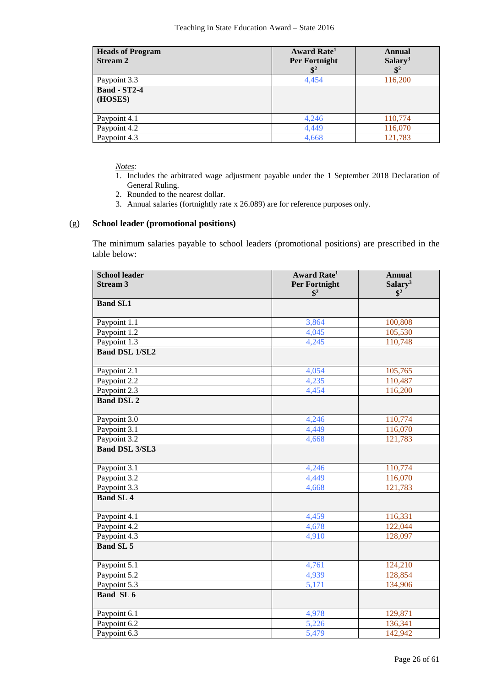| <b>Heads of Program</b><br><b>Stream 2</b> | Award Rate <sup>1</sup><br><b>Per Fortnight</b><br>$\mathbf{\$}^2$ | Annual<br>Salary <sup>3</sup><br>$\mathbf{\$}^2$ |
|--------------------------------------------|--------------------------------------------------------------------|--------------------------------------------------|
| Paypoint 3.3                               | 4,454                                                              | 116,200                                          |
| <b>Band - ST2-4</b><br>(HOSES)             |                                                                    |                                                  |
| Paypoint 4.1                               | 4,246                                                              | 110,774                                          |
| Paypoint 4.2                               | 4,449                                                              | 116,070                                          |
| Paypoint 4.3                               | 4,668                                                              | 121,783                                          |

*Notes:*

- 1. Includes the arbitrated wage adjustment payable under the 1 September 2018 Declaration of General Ruling.
- 2. Rounded to the nearest dollar.
- 3. Annual salaries (fortnightly rate x 26.089) are for reference purposes only.

## (g) **School leader (promotional positions)**

The minimum salaries payable to school leaders (promotional positions) are prescribed in the table below:

| <b>School leader</b>  | <b>Award Rate<sup>1</sup></b> | <b>Annual</b>        |
|-----------------------|-------------------------------|----------------------|
| <b>Stream 3</b>       | <b>Per Fortnight</b>          | Salary <sup>3</sup>  |
|                       | $\mathbb{S}^2$                | $\mathbb{S}^2$       |
| <b>Band SL1</b>       |                               |                      |
| Paypoint 1.1          | 3,864                         | 100,808              |
| Paypoint 1.2          | 4,045                         | 105,530              |
| Paypoint 1.3          | 4,245                         | 110,748              |
| <b>Band DSL 1/SL2</b> |                               |                      |
| Paypoint 2.1          | 4,054                         | $\overline{105,765}$ |
| Paypoint 2.2          | 4,235                         | 110,487              |
| Paypoint 2.3          | 4,454                         | 116,200              |
| <b>Band DSL 2</b>     |                               |                      |
|                       |                               |                      |
| Paypoint 3.0          | 4,246                         | 110,774              |
| Paypoint 3.1          | 4,449                         | 116,070              |
| Paypoint 3.2          | 4,668                         | 121,783              |
| <b>Band DSL 3/SL3</b> |                               |                      |
| Paypoint 3.1          | 4,246                         | 110,774              |
| Paypoint 3.2          | 4,449                         | 116,070              |
| Paypoint 3.3          | 4,668                         | 121,783              |
| <b>Band SL 4</b>      |                               |                      |
| Paypoint 4.1          | 4,459                         | 116,331              |
| Paypoint 4.2          | 4,678                         | 122,044              |
| Paypoint 4.3          | 4,910                         | 128,097              |
| <b>Band SL 5</b>      |                               |                      |
| Paypoint 5.1          | 4,761                         | 124,210              |
| Paypoint 5.2          | 4,939                         | 128,854              |
| Paypoint 5.3          | 5,171                         | 134,906              |
| <b>Band SL6</b>       |                               |                      |
| Paypoint 6.1          | 4,978                         | 129,871              |
| Paypoint 6.2          | 5,226                         | 136,341              |
| Paypoint 6.3          | 5,479                         | 142,942              |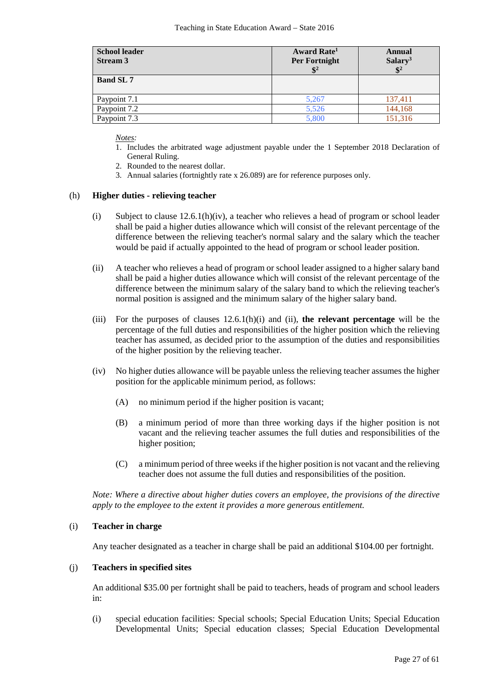| <b>School leader</b><br><b>Stream 3</b> | <b>Award Rate</b> <sup>1</sup><br>Per Fortnight<br>$\mathbf{\hat{S}}^2$ | <b>Annual</b><br>Salary <sup>3</sup><br>$\mathbf{S}^2$ |
|-----------------------------------------|-------------------------------------------------------------------------|--------------------------------------------------------|
| <b>Band SL 7</b>                        |                                                                         |                                                        |
| Paypoint 7.1                            | 5,267                                                                   | 137,411                                                |
| Paypoint 7.2                            | 5,526                                                                   | 144,168                                                |
| Paypoint 7.3                            | 5,800                                                                   | 151,316                                                |

*Notes:*

- 1. Includes the arbitrated wage adjustment payable under the 1 September 2018 Declaration of General Ruling.
- 2. Rounded to the nearest dollar.
- 3. Annual salaries (fortnightly rate x 26.089) are for reference purposes only.

#### (h) **Higher duties - relieving teacher**

- (i) Subject to clause  $12.6.1(h)(iv)$ , a teacher who relieves a head of program or school leader shall be paid a higher duties allowance which will consist of the relevant percentage of the difference between the relieving teacher's normal salary and the salary which the teacher would be paid if actually appointed to the head of program or school leader position.
- (ii) A teacher who relieves a head of program or school leader assigned to a higher salary band shall be paid a higher duties allowance which will consist of the relevant percentage of the difference between the minimum salary of the salary band to which the relieving teacher's normal position is assigned and the minimum salary of the higher salary band.
- (iii) For the purposes of clauses 12.6.1(h)(i) and (ii), **the relevant percentage** will be the percentage of the full duties and responsibilities of the higher position which the relieving teacher has assumed, as decided prior to the assumption of the duties and responsibilities of the higher position by the relieving teacher.
- (iv) No higher duties allowance will be payable unless the relieving teacher assumes the higher position for the applicable minimum period, as follows:
	- (A) no minimum period if the higher position is vacant;
	- (B) a minimum period of more than three working days if the higher position is not vacant and the relieving teacher assumes the full duties and responsibilities of the higher position;
	- (C) a minimum period of three weeks if the higher position is not vacant and the relieving teacher does not assume the full duties and responsibilities of the position.

*Note: Where a directive about higher duties covers an employee, the provisions of the directive apply to the employee to the extent it provides a more generous entitlement.*

#### (i) **Teacher in charge**

Any teacher designated as a teacher in charge shall be paid an additional \$104.00 per fortnight.

#### (j) **Teachers in specified sites**

An additional \$35.00 per fortnight shall be paid to teachers, heads of program and school leaders in:

(i) special education facilities: Special schools; Special Education Units; Special Education Developmental Units; Special education classes; Special Education Developmental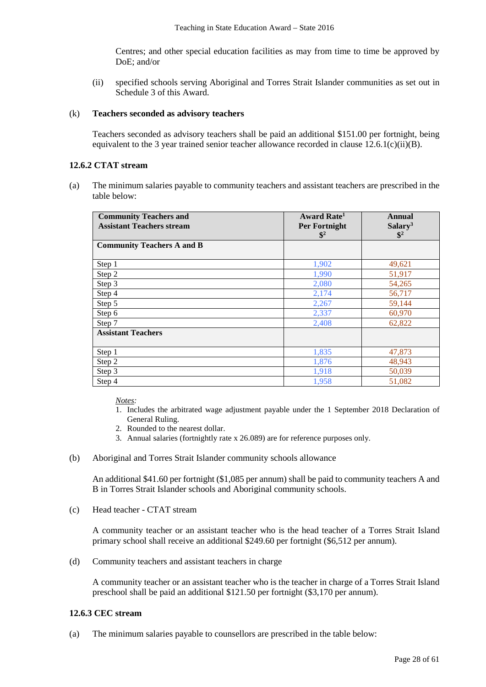Centres; and other special education facilities as may from time to time be approved by DoE; and/or

(ii) specified schools serving Aboriginal and Torres Strait Islander communities as set out in Schedule 3 of this Award.

## (k) **Teachers seconded as advisory teachers**

Teachers seconded as advisory teachers shall be paid an additional \$151.00 per fortnight, being equivalent to the 3 year trained senior teacher allowance recorded in clause 12.6.1(c)(ii)(B).

### **12.6.2 CTAT stream**

(a) The minimum salaries payable to community teachers and assistant teachers are prescribed in the table below:

| <b>Community Teachers and</b><br><b>Assistant Teachers stream</b> | <b>Award Rate</b> <sup>1</sup><br>Per Fortnight<br>$\mathbb{S}^2$ | Annual<br>Salary <sup>3</sup><br>$\mathbb{S}^2$ |
|-------------------------------------------------------------------|-------------------------------------------------------------------|-------------------------------------------------|
| <b>Community Teachers A and B</b>                                 |                                                                   |                                                 |
| Step 1                                                            | 1,902                                                             | 49,621                                          |
| Step 2                                                            | 1,990                                                             | 51,917                                          |
| Step 3                                                            | 2,080                                                             | 54,265                                          |
| Step 4                                                            | 2,174                                                             | 56,717                                          |
| Step 5                                                            | 2,267                                                             | 59,144                                          |
| Step 6                                                            | 2,337                                                             | 60,970                                          |
| Step 7                                                            | 2,408                                                             | 62,822                                          |
| <b>Assistant Teachers</b>                                         |                                                                   |                                                 |
| Step 1                                                            | 1,835                                                             | 47,873                                          |
| Step 2                                                            | 1,876                                                             | 48,943                                          |
| Step 3                                                            | 1,918                                                             | 50,039                                          |
| Step 4                                                            | 1,958                                                             | 51,082                                          |

*Notes:*

- 1. Includes the arbitrated wage adjustment payable under the 1 September 2018 Declaration of General Ruling.
- 2. Rounded to the nearest dollar.
- 3. Annual salaries (fortnightly rate x 26.089) are for reference purposes only.
- (b) Aboriginal and Torres Strait Islander community schools allowance

An additional \$41.60 per fortnight (\$1,085 per annum) shall be paid to community teachers A and B in Torres Strait Islander schools and Aboriginal community schools.

(c) Head teacher - CTAT stream

A community teacher or an assistant teacher who is the head teacher of a Torres Strait Island primary school shall receive an additional \$249.60 per fortnight (\$6,512 per annum).

(d) Community teachers and assistant teachers in charge

A community teacher or an assistant teacher who is the teacher in charge of a Torres Strait Island preschool shall be paid an additional \$121.50 per fortnight (\$3,170 per annum).

## **12.6.3 CEC stream**

(a) The minimum salaries payable to counsellors are prescribed in the table below: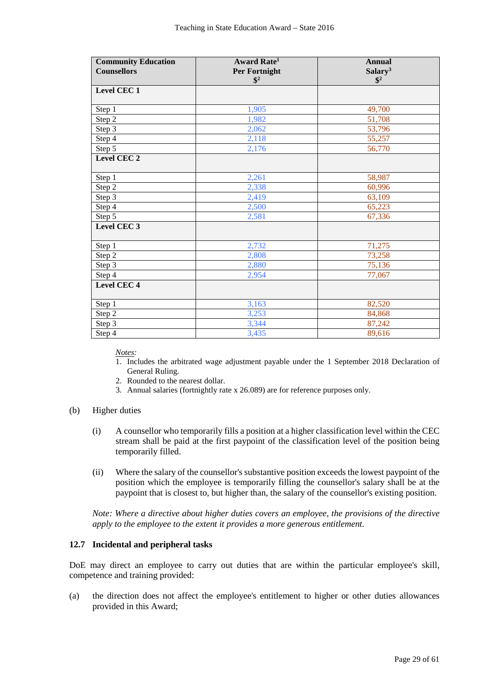| <b>Community Education</b><br><b>Counsellors</b> | <b>Award Rate<sup>1</sup></b><br>Per Fortnight | <b>Annual</b><br>Salary <sup>3</sup> |
|--------------------------------------------------|------------------------------------------------|--------------------------------------|
|                                                  | $\mathbb{S}^2$                                 | $\frac{1}{2}$                        |
| Level CEC 1                                      |                                                |                                      |
|                                                  |                                                |                                      |
| Step 1                                           | 1,905                                          | 49,700                               |
| Step 2                                           | 1,982                                          | 51,708                               |
| Step 3                                           | 2,062                                          | 53,796                               |
| Step 4                                           | 2,118                                          | 55,257                               |
| Step $5$                                         | 2,176                                          | 56,770                               |
| Level CEC <sub>2</sub>                           |                                                |                                      |
| Step 1                                           | 2,261                                          | 58,987                               |
| Step 2                                           | 2,338                                          | 60,996                               |
| Step 3                                           | 2,419                                          | 63,109                               |
| Step 4                                           | 2,500                                          | 65,223                               |
| Step 5                                           | 2,581                                          | 67,336                               |
| Level CEC <sub>3</sub>                           |                                                |                                      |
| Step 1                                           | 2,732                                          | 71,275                               |
| Step 2                                           | 2,808                                          | 73,258                               |
| Step 3                                           | 2,880                                          | 75,136                               |
| Step 4                                           | 2,954                                          | 77,067                               |
| Level CEC <sub>4</sub>                           |                                                |                                      |
| Step 1                                           | 3,163                                          | 82,520                               |
| Step 2                                           | 3,253                                          | 84,868                               |
| Step 3                                           | 3,344                                          | 87,242                               |
| Step 4                                           | 3,435                                          | 89,616                               |

*Notes:*

- 1. Includes the arbitrated wage adjustment payable under the 1 September 2018 Declaration of General Ruling.
- 2. Rounded to the nearest dollar.
- 3. Annual salaries (fortnightly rate x 26.089) are for reference purposes only.
- (b) Higher duties
	- (i) A counsellor who temporarily fills a position at a higher classification level within the CEC stream shall be paid at the first paypoint of the classification level of the position being temporarily filled.
	- (ii) Where the salary of the counsellor's substantive position exceeds the lowest paypoint of the position which the employee is temporarily filling the counsellor's salary shall be at the paypoint that is closest to, but higher than, the salary of the counsellor's existing position.

*Note: Where a directive about higher duties covers an employee, the provisions of the directive apply to the employee to the extent it provides a more generous entitlement.*

#### **12.7 Incidental and peripheral tasks**

DoE may direct an employee to carry out duties that are within the particular employee's skill, competence and training provided:

(a) the direction does not affect the employee's entitlement to higher or other duties allowances provided in this Award;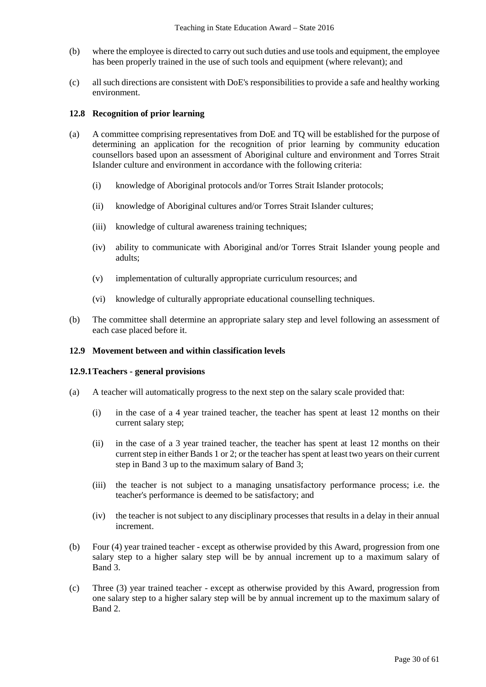- (b) where the employee is directed to carry out such duties and use tools and equipment, the employee has been properly trained in the use of such tools and equipment (where relevant); and
- (c) all such directions are consistent with DoE's responsibilities to provide a safe and healthy working environment.

### **12.8 Recognition of prior learning**

- (a) A committee comprising representatives from DoE and TQ will be established for the purpose of determining an application for the recognition of prior learning by community education counsellors based upon an assessment of Aboriginal culture and environment and Torres Strait Islander culture and environment in accordance with the following criteria:
	- (i) knowledge of Aboriginal protocols and/or Torres Strait Islander protocols;
	- (ii) knowledge of Aboriginal cultures and/or Torres Strait Islander cultures;
	- (iii) knowledge of cultural awareness training techniques;
	- (iv) ability to communicate with Aboriginal and/or Torres Strait Islander young people and adults;
	- (v) implementation of culturally appropriate curriculum resources; and
	- (vi) knowledge of culturally appropriate educational counselling techniques.
- (b) The committee shall determine an appropriate salary step and level following an assessment of each case placed before it.

#### **12.9 Movement between and within classification levels**

#### **12.9.1Teachers - general provisions**

- (a) A teacher will automatically progress to the next step on the salary scale provided that:
	- (i) in the case of a 4 year trained teacher, the teacher has spent at least 12 months on their current salary step;
	- (ii) in the case of a 3 year trained teacher, the teacher has spent at least 12 months on their current step in either Bands 1 or 2; or the teacher has spent at least two years on their current step in Band 3 up to the maximum salary of Band 3;
	- (iii) the teacher is not subject to a managing unsatisfactory performance process; i.e. the teacher's performance is deemed to be satisfactory; and
	- (iv) the teacher is not subject to any disciplinary processes that results in a delay in their annual increment.
- (b) Four (4) year trained teacher except as otherwise provided by this Award, progression from one salary step to a higher salary step will be by annual increment up to a maximum salary of Band 3.
- (c) Three (3) year trained teacher except as otherwise provided by this Award, progression from one salary step to a higher salary step will be by annual increment up to the maximum salary of Band 2.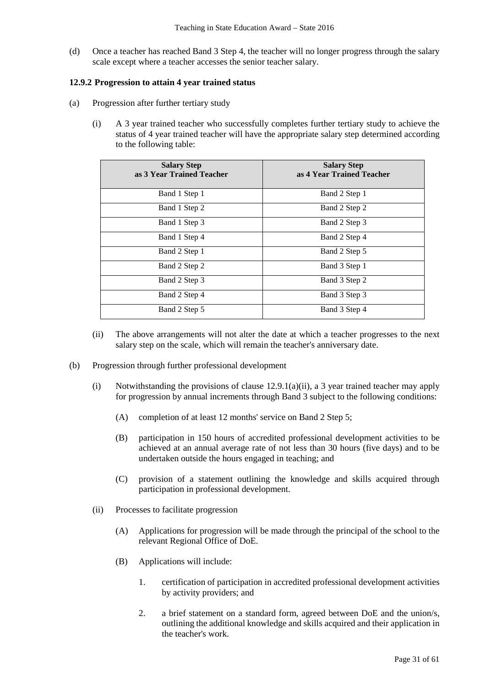(d) Once a teacher has reached Band 3 Step 4, the teacher will no longer progress through the salary scale except where a teacher accesses the senior teacher salary.

## **12.9.2 Progression to attain 4 year trained status**

- (a) Progression after further tertiary study
	- (i) A 3 year trained teacher who successfully completes further tertiary study to achieve the status of 4 year trained teacher will have the appropriate salary step determined according to the following table:

| <b>Salary Step</b><br>as 3 Year Trained Teacher | <b>Salary Step</b><br>as 4 Year Trained Teacher |
|-------------------------------------------------|-------------------------------------------------|
| Band 1 Step 1                                   | Band 2 Step 1                                   |
| Band 1 Step 2                                   | Band 2 Step 2                                   |
| Band 1 Step 3                                   | Band 2 Step 3                                   |
| Band 1 Step 4                                   | Band 2 Step 4                                   |
| Band 2 Step 1                                   | Band 2 Step 5                                   |
| Band 2 Step 2                                   | Band 3 Step 1                                   |
| Band 2 Step 3                                   | Band 3 Step 2                                   |
| Band 2 Step 4                                   | Band 3 Step 3                                   |
| Band 2 Step 5                                   | Band 3 Step 4                                   |

- (ii) The above arrangements will not alter the date at which a teacher progresses to the next salary step on the scale, which will remain the teacher's anniversary date.
- (b) Progression through further professional development
	- (i) Notwithstanding the provisions of clause  $12.9.1(a)(ii)$ , a 3 year trained teacher may apply for progression by annual increments through Band 3 subject to the following conditions:
		- (A) completion of at least 12 months' service on Band 2 Step 5;
		- (B) participation in 150 hours of accredited professional development activities to be achieved at an annual average rate of not less than 30 hours (five days) and to be undertaken outside the hours engaged in teaching; and
		- (C) provision of a statement outlining the knowledge and skills acquired through participation in professional development.
	- (ii) Processes to facilitate progression
		- (A) Applications for progression will be made through the principal of the school to the relevant Regional Office of DoE.
		- (B) Applications will include:
			- 1. certification of participation in accredited professional development activities by activity providers; and
			- 2. a brief statement on a standard form, agreed between DoE and the union/s, outlining the additional knowledge and skills acquired and their application in the teacher's work.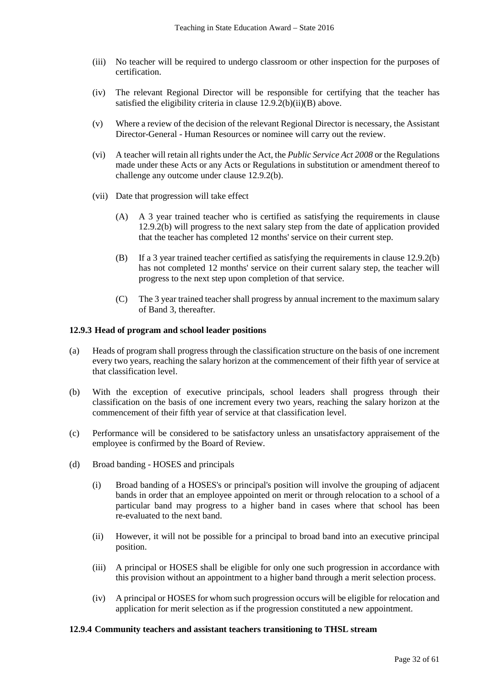- (iii) No teacher will be required to undergo classroom or other inspection for the purposes of certification.
- (iv) The relevant Regional Director will be responsible for certifying that the teacher has satisfied the eligibility criteria in clause  $12.9.\overline{2(b)(ii)(B)}$  above.
- (v) Where a review of the decision of the relevant Regional Director is necessary, the Assistant Director-General - Human Resources or nominee will carry out the review.
- (vi) A teacher will retain all rights under the Act, the *Public Service Act 2008* or the Regulations made under these Acts or any Acts or Regulations in substitution or amendment thereof to challenge any outcome under clause 12.9.2(b).
- (vii) Date that progression will take effect
	- (A) A 3 year trained teacher who is certified as satisfying the requirements in clause 12.9.2(b) will progress to the next salary step from the date of application provided that the teacher has completed 12 months' service on their current step.
	- (B) If a 3 year trained teacher certified as satisfying the requirements in clause 12.9.2(b) has not completed 12 months' service on their current salary step, the teacher will progress to the next step upon completion of that service.
	- (C) The 3 year trained teacher shall progress by annual increment to the maximum salary of Band 3, thereafter.

### **12.9.3 Head of program and school leader positions**

- (a) Heads of program shall progress through the classification structure on the basis of one increment every two years, reaching the salary horizon at the commencement of their fifth year of service at that classification level.
- (b) With the exception of executive principals, school leaders shall progress through their classification on the basis of one increment every two years, reaching the salary horizon at the commencement of their fifth year of service at that classification level.
- (c) Performance will be considered to be satisfactory unless an unsatisfactory appraisement of the employee is confirmed by the Board of Review.
- (d) Broad banding HOSES and principals
	- (i) Broad banding of a HOSES's or principal's position will involve the grouping of adjacent bands in order that an employee appointed on merit or through relocation to a school of a particular band may progress to a higher band in cases where that school has been re-evaluated to the next band.
	- (ii) However, it will not be possible for a principal to broad band into an executive principal position.
	- (iii) A principal or HOSES shall be eligible for only one such progression in accordance with this provision without an appointment to a higher band through a merit selection process.
	- (iv) A principal or HOSES for whom such progression occurs will be eligible for relocation and application for merit selection as if the progression constituted a new appointment.

#### **12.9.4 Community teachers and assistant teachers transitioning to THSL stream**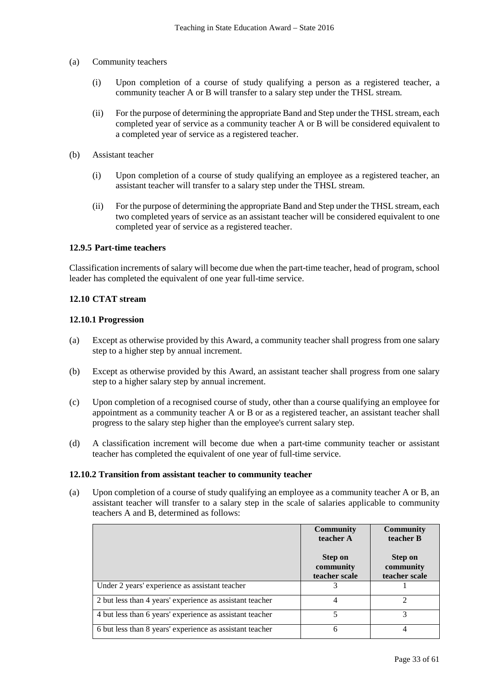- (a) Community teachers
	- (i) Upon completion of a course of study qualifying a person as a registered teacher, a community teacher A or B will transfer to a salary step under the THSL stream.
	- (ii) For the purpose of determining the appropriate Band and Step under the THSL stream, each completed year of service as a community teacher A or B will be considered equivalent to a completed year of service as a registered teacher.
- (b) Assistant teacher
	- (i) Upon completion of a course of study qualifying an employee as a registered teacher, an assistant teacher will transfer to a salary step under the THSL stream.
	- (ii) For the purpose of determining the appropriate Band and Step under the THSL stream, each two completed years of service as an assistant teacher will be considered equivalent to one completed year of service as a registered teacher.

### **12.9.5 Part-time teachers**

Classification increments of salary will become due when the part-time teacher, head of program, school leader has completed the equivalent of one year full-time service.

## **12.10 CTAT stream**

#### **12.10.1 Progression**

- (a) Except as otherwise provided by this Award, a community teacher shall progress from one salary step to a higher step by annual increment.
- (b) Except as otherwise provided by this Award, an assistant teacher shall progress from one salary step to a higher salary step by annual increment.
- (c) Upon completion of a recognised course of study, other than a course qualifying an employee for appointment as a community teacher A or B or as a registered teacher, an assistant teacher shall progress to the salary step higher than the employee's current salary step.
- (d) A classification increment will become due when a part-time community teacher or assistant teacher has completed the equivalent of one year of full-time service.

#### **12.10.2 Transition from assistant teacher to community teacher**

(a) Upon completion of a course of study qualifying an employee as a community teacher A or B, an assistant teacher will transfer to a salary step in the scale of salaries applicable to community teachers A and B, determined as follows:

|                                                          | <b>Community</b><br>teacher A                | <b>Community</b><br>teacher B                |
|----------------------------------------------------------|----------------------------------------------|----------------------------------------------|
|                                                          | <b>Step on</b><br>community<br>teacher scale | <b>Step on</b><br>community<br>teacher scale |
| Under 2 years' experience as assistant teacher           |                                              |                                              |
| 2 but less than 4 years' experience as assistant teacher | 4                                            |                                              |
| 4 but less than 6 years' experience as assistant teacher | 5                                            |                                              |
| 6 but less than 8 years' experience as assistant teacher | 6                                            |                                              |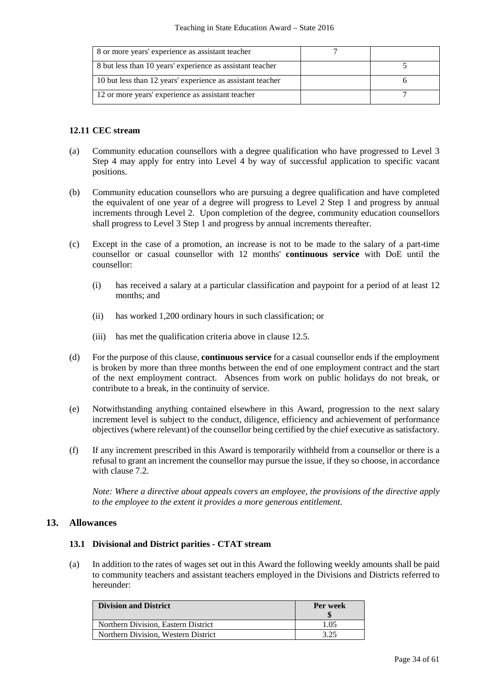| 8 or more years' experience as assistant teacher           |  |
|------------------------------------------------------------|--|
| 8 but less than 10 years' experience as assistant teacher  |  |
| 10 but less than 12 years' experience as assistant teacher |  |
| 12 or more years' experience as assistant teacher          |  |

#### **12.11 CEC stream**

- (a) Community education counsellors with a degree qualification who have progressed to Level 3 Step 4 may apply for entry into Level 4 by way of successful application to specific vacant positions.
- (b) Community education counsellors who are pursuing a degree qualification and have completed the equivalent of one year of a degree will progress to Level 2 Step 1 and progress by annual increments through Level 2. Upon completion of the degree, community education counsellors shall progress to Level 3 Step 1 and progress by annual increments thereafter.
- (c) Except in the case of a promotion, an increase is not to be made to the salary of a part-time counsellor or casual counsellor with 12 months' **continuous service** with DoE until the counsellor:
	- (i) has received a salary at a particular classification and paypoint for a period of at least 12 months; and
	- (ii) has worked 1,200 ordinary hours in such classification; or
	- (iii) has met the qualification criteria above in clause 12.5.
- (d) For the purpose of this clause, **continuous service** for a casual counsellor ends if the employment is broken by more than three months between the end of one employment contract and the start of the next employment contract. Absences from work on public holidays do not break, or contribute to a break, in the continuity of service.
- (e) Notwithstanding anything contained elsewhere in this Award, progression to the next salary increment level is subject to the conduct, diligence, efficiency and achievement of performance objectives (where relevant) of the counsellor being certified by the chief executive as satisfactory.
- (f) If any increment prescribed in this Award is temporarily withheld from a counsellor or there is a refusal to grant an increment the counsellor may pursue the issue, if they so choose, in accordance with clause 7.2.

*Note: Where a directive about appeals covers an employee, the provisions of the directive apply to the employee to the extent it provides a more generous entitlement.*

## **13. Allowances**

#### **13.1 Divisional and District parities - CTAT stream**

(a) In addition to the rates of wages set out in this Award the following weekly amounts shall be paid to community teachers and assistant teachers employed in the Divisions and Districts referred to hereunder:

| <b>Division and District</b>        | Per week |
|-------------------------------------|----------|
| Northern Division. Eastern District | 1.05     |
| Northern Division, Western District | 325      |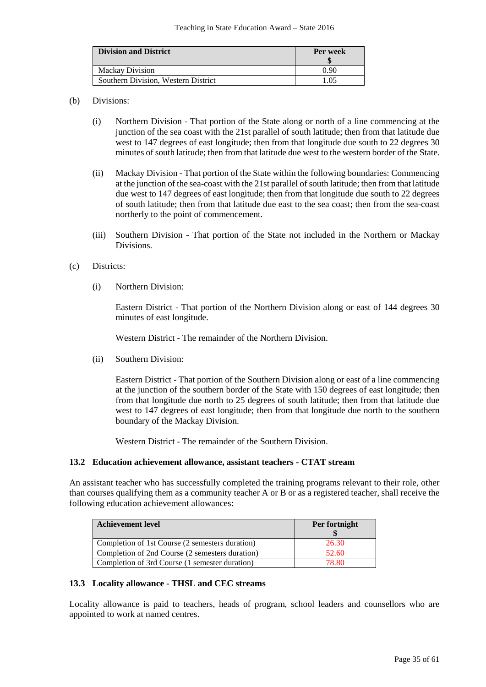| <b>Division and District</b>        | Per week |
|-------------------------------------|----------|
| <b>Mackay Division</b>              | 0.90     |
| Southern Division. Western District | ፣ በና     |

### (b) Divisions:

- (i) Northern Division That portion of the State along or north of a line commencing at the junction of the sea coast with the 21st parallel of south latitude; then from that latitude due west to 147 degrees of east longitude; then from that longitude due south to 22 degrees 30 minutes of south latitude; then from that latitude due west to the western border of the State.
- (ii) Mackay Division That portion of the State within the following boundaries: Commencing at the junction of the sea-coast with the 21st parallel of south latitude; then from that latitude due west to 147 degrees of east longitude; then from that longitude due south to 22 degrees of south latitude; then from that latitude due east to the sea coast; then from the sea-coast northerly to the point of commencement.
- (iii) Southern Division That portion of the State not included in the Northern or Mackay Divisions.
- (c) Districts:
	- (i) Northern Division:

Eastern District - That portion of the Northern Division along or east of 144 degrees 30 minutes of east longitude.

Western District - The remainder of the Northern Division.

(ii) Southern Division:

Eastern District - That portion of the Southern Division along or east of a line commencing at the junction of the southern border of the State with 150 degrees of east longitude; then from that longitude due north to 25 degrees of south latitude; then from that latitude due west to 147 degrees of east longitude; then from that longitude due north to the southern boundary of the Mackay Division.

Western District - The remainder of the Southern Division.

#### **13.2 Education achievement allowance, assistant teachers - CTAT stream**

An assistant teacher who has successfully completed the training programs relevant to their role, other than courses qualifying them as a community teacher A or B or as a registered teacher, shall receive the following education achievement allowances:

| <b>Achievement level</b>                        | Per fortnight |
|-------------------------------------------------|---------------|
| Completion of 1st Course (2 semesters duration) | 26.30         |
| Completion of 2nd Course (2 semesters duration) | 52.60         |
| Completion of 3rd Course (1 semester duration)  | 78.80         |

## **13.3 Locality allowance - THSL and CEC streams**

Locality allowance is paid to teachers, heads of program, school leaders and counsellors who are appointed to work at named centres.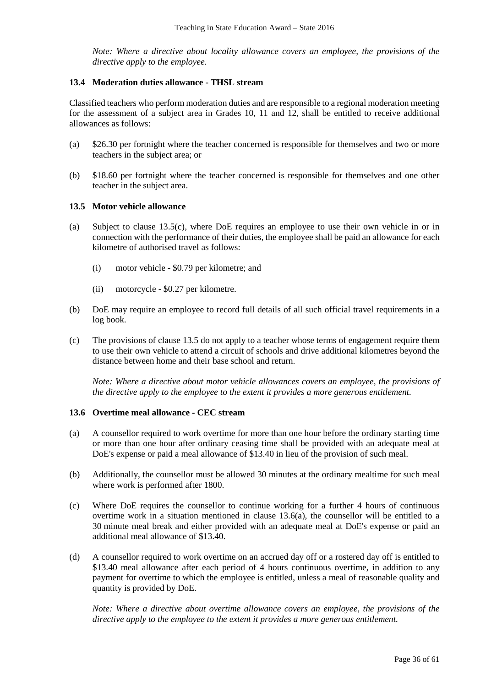*Note: Where a directive about locality allowance covers an employee, the provisions of the directive apply to the employee.*

#### **13.4 Moderation duties allowance - THSL stream**

Classified teachers who perform moderation duties and are responsible to a regional moderation meeting for the assessment of a subject area in Grades 10, 11 and 12, shall be entitled to receive additional allowances as follows:

- (a) \$26.30 per fortnight where the teacher concerned is responsible for themselves and two or more teachers in the subject area; or
- (b) \$18.60 per fortnight where the teacher concerned is responsible for themselves and one other teacher in the subject area.

### **13.5 Motor vehicle allowance**

- (a) Subject to clause 13.5(c), where DoE requires an employee to use their own vehicle in or in connection with the performance of their duties, the employee shall be paid an allowance for each kilometre of authorised travel as follows:
	- (i) motor vehicle \$0.79 per kilometre; and
	- (ii) motorcycle \$0.27 per kilometre.
- (b) DoE may require an employee to record full details of all such official travel requirements in a log book.
- (c) The provisions of clause 13.5 do not apply to a teacher whose terms of engagement require them to use their own vehicle to attend a circuit of schools and drive additional kilometres beyond the distance between home and their base school and return.

*Note: Where a directive about motor vehicle allowances covers an employee, the provisions of the directive apply to the employee to the extent it provides a more generous entitlement.*

#### **13.6 Overtime meal allowance - CEC stream**

- (a) A counsellor required to work overtime for more than one hour before the ordinary starting time or more than one hour after ordinary ceasing time shall be provided with an adequate meal at DoE's expense or paid a meal allowance of \$13.40 in lieu of the provision of such meal.
- (b) Additionally, the counsellor must be allowed 30 minutes at the ordinary mealtime for such meal where work is performed after 1800.
- (c) Where DoE requires the counsellor to continue working for a further 4 hours of continuous overtime work in a situation mentioned in clause 13.6(a), the counsellor will be entitled to a 30 minute meal break and either provided with an adequate meal at DoE's expense or paid an additional meal allowance of \$13.40.
- (d) A counsellor required to work overtime on an accrued day off or a rostered day off is entitled to \$13.40 meal allowance after each period of 4 hours continuous overtime, in addition to any payment for overtime to which the employee is entitled, unless a meal of reasonable quality and quantity is provided by DoE.

*Note: Where a directive about overtime allowance covers an employee, the provisions of the directive apply to the employee to the extent it provides a more generous entitlement.*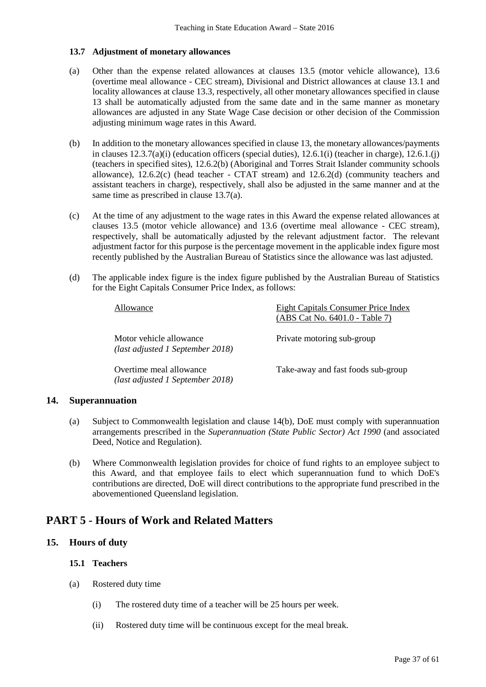## **13.7 Adjustment of monetary allowances**

- (a) Other than the expense related allowances at clauses 13.5 (motor vehicle allowance), 13.6 (overtime meal allowance - CEC stream), Divisional and District allowances at clause 13.1 and locality allowances at clause 13.3, respectively, all other monetary allowances specified in clause 13 shall be automatically adjusted from the same date and in the same manner as monetary allowances are adjusted in any State Wage Case decision or other decision of the Commission adjusting minimum wage rates in this Award.
- (b) In addition to the monetary allowances specified in clause 13, the monetary allowances/payments in clauses  $12.3.7(a)(i)$  (education officers (special duties),  $12.6.1(i)$  (teacher in charge),  $12.6.1(i)$ (teachers in specified sites), 12.6.2(b) (Aboriginal and Torres Strait Islander community schools allowance),  $12.6.2(c)$  (head teacher - CTAT stream) and  $12.6.2(d)$  (community teachers and assistant teachers in charge), respectively, shall also be adjusted in the same manner and at the same time as prescribed in clause 13.7(a).
- (c) At the time of any adjustment to the wage rates in this Award the expense related allowances at clauses 13.5 (motor vehicle allowance) and 13.6 (overtime meal allowance - CEC stream), respectively, shall be automatically adjusted by the relevant adjustment factor. The relevant adjustment factor for this purpose is the percentage movement in the applicable index figure most recently published by the Australian Bureau of Statistics since the allowance was last adjusted.
- (d) The applicable index figure is the index figure published by the Australian Bureau of Statistics for the Eight Capitals Consumer Price Index, as follows:

| Allowance                                                   | Eight Capitals Consumer Price Index<br>(ABS Cat No. 6401.0 - Table 7) |
|-------------------------------------------------------------|-----------------------------------------------------------------------|
| Motor vehicle allowance<br>(last adjusted 1 September 2018) | Private motoring sub-group                                            |
| Overtime meal allowance<br>(last adjusted 1 September 2018) | Take-away and fast foods sub-group                                    |

## **14. Superannuation**

- (a) Subject to Commonwealth legislation and clause 14(b), DoE must comply with superannuation arrangements prescribed in the *Superannuation (State Public Sector) Act 1990* (and associated Deed, Notice and Regulation).
- (b) Where Commonwealth legislation provides for choice of fund rights to an employee subject to this Award, and that employee fails to elect which superannuation fund to which DoE's contributions are directed, DoE will direct contributions to the appropriate fund prescribed in the abovementioned Queensland legislation.

# **PART 5 - Hours of Work and Related Matters**

## **15. Hours of duty**

## **15.1 Teachers**

- (a) Rostered duty time
	- (i) The rostered duty time of a teacher will be 25 hours per week.
	- (ii) Rostered duty time will be continuous except for the meal break.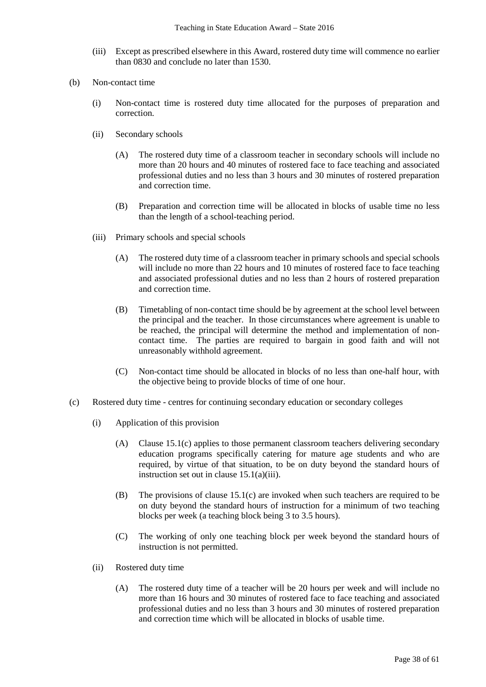- (iii) Except as prescribed elsewhere in this Award, rostered duty time will commence no earlier than 0830 and conclude no later than 1530.
- (b) Non-contact time
	- (i) Non-contact time is rostered duty time allocated for the purposes of preparation and correction.
	- (ii) Secondary schools
		- (A) The rostered duty time of a classroom teacher in secondary schools will include no more than 20 hours and 40 minutes of rostered face to face teaching and associated professional duties and no less than 3 hours and 30 minutes of rostered preparation and correction time.
		- (B) Preparation and correction time will be allocated in blocks of usable time no less than the length of a school-teaching period.
	- (iii) Primary schools and special schools
		- (A) The rostered duty time of a classroom teacher in primary schools and special schools will include no more than 22 hours and 10 minutes of rostered face to face teaching and associated professional duties and no less than 2 hours of rostered preparation and correction time.
		- (B) Timetabling of non-contact time should be by agreement at the school level between the principal and the teacher. In those circumstances where agreement is unable to be reached, the principal will determine the method and implementation of noncontact time. The parties are required to bargain in good faith and will not unreasonably withhold agreement.
		- (C) Non-contact time should be allocated in blocks of no less than one-half hour, with the objective being to provide blocks of time of one hour.
- (c) Rostered duty time centres for continuing secondary education or secondary colleges
	- (i) Application of this provision
		- (A) Clause 15.1(c) applies to those permanent classroom teachers delivering secondary education programs specifically catering for mature age students and who are required, by virtue of that situation, to be on duty beyond the standard hours of instruction set out in clause 15.1(a)(iii).
		- (B) The provisions of clause 15.1(c) are invoked when such teachers are required to be on duty beyond the standard hours of instruction for a minimum of two teaching blocks per week (a teaching block being 3 to 3.5 hours).
		- (C) The working of only one teaching block per week beyond the standard hours of instruction is not permitted.
	- (ii) Rostered duty time
		- (A) The rostered duty time of a teacher will be 20 hours per week and will include no more than 16 hours and 30 minutes of rostered face to face teaching and associated professional duties and no less than 3 hours and 30 minutes of rostered preparation and correction time which will be allocated in blocks of usable time.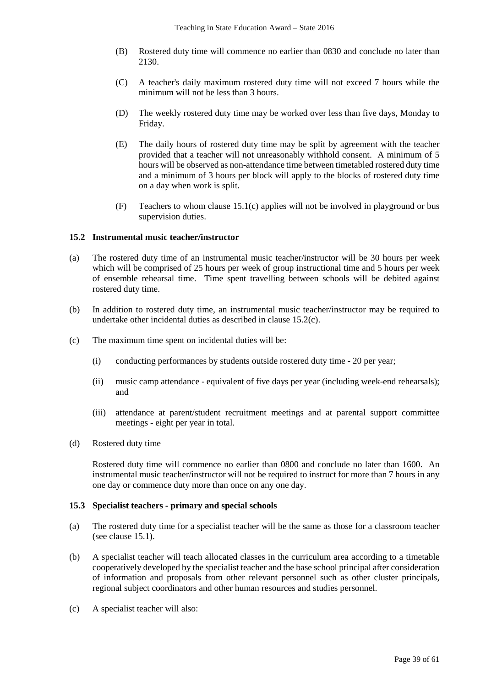- (B) Rostered duty time will commence no earlier than 0830 and conclude no later than 2130.
- (C) A teacher's daily maximum rostered duty time will not exceed 7 hours while the minimum will not be less than 3 hours.
- (D) The weekly rostered duty time may be worked over less than five days, Monday to Friday.
- (E) The daily hours of rostered duty time may be split by agreement with the teacher provided that a teacher will not unreasonably withhold consent. A minimum of 5 hours will be observed as non-attendance time between timetabled rostered duty time and a minimum of 3 hours per block will apply to the blocks of rostered duty time on a day when work is split.
- (F) Teachers to whom clause 15.1(c) applies will not be involved in playground or bus supervision duties.

#### **15.2 Instrumental music teacher/instructor**

- (a) The rostered duty time of an instrumental music teacher/instructor will be 30 hours per week which will be comprised of 25 hours per week of group instructional time and 5 hours per week of ensemble rehearsal time. Time spent travelling between schools will be debited against rostered duty time.
- (b) In addition to rostered duty time, an instrumental music teacher/instructor may be required to undertake other incidental duties as described in clause 15.2(c).
- (c) The maximum time spent on incidental duties will be:
	- (i) conducting performances by students outside rostered duty time 20 per year;
	- (ii) music camp attendance equivalent of five days per year (including week-end rehearsals); and
	- (iii) attendance at parent/student recruitment meetings and at parental support committee meetings - eight per year in total.
- (d) Rostered duty time

Rostered duty time will commence no earlier than 0800 and conclude no later than 1600. An instrumental music teacher/instructor will not be required to instruct for more than 7 hours in any one day or commence duty more than once on any one day.

#### **15.3 Specialist teachers - primary and special schools**

- (a) The rostered duty time for a specialist teacher will be the same as those for a classroom teacher (see clause 15.1).
- (b) A specialist teacher will teach allocated classes in the curriculum area according to a timetable cooperatively developed by the specialist teacher and the base school principal after consideration of information and proposals from other relevant personnel such as other cluster principals, regional subject coordinators and other human resources and studies personnel.
- (c) A specialist teacher will also: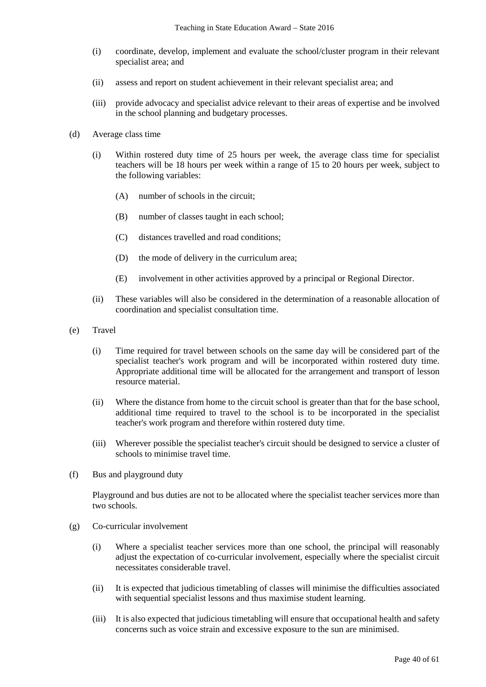- (i) coordinate, develop, implement and evaluate the school/cluster program in their relevant specialist area; and
- (ii) assess and report on student achievement in their relevant specialist area; and
- (iii) provide advocacy and specialist advice relevant to their areas of expertise and be involved in the school planning and budgetary processes.
- (d) Average class time
	- (i) Within rostered duty time of 25 hours per week, the average class time for specialist teachers will be 18 hours per week within a range of 15 to 20 hours per week, subject to the following variables:
		- (A) number of schools in the circuit;
		- (B) number of classes taught in each school;
		- (C) distances travelled and road conditions;
		- (D) the mode of delivery in the curriculum area;
		- (E) involvement in other activities approved by a principal or Regional Director.
	- (ii) These variables will also be considered in the determination of a reasonable allocation of coordination and specialist consultation time.
- (e) Travel
	- (i) Time required for travel between schools on the same day will be considered part of the specialist teacher's work program and will be incorporated within rostered duty time. Appropriate additional time will be allocated for the arrangement and transport of lesson resource material.
	- (ii) Where the distance from home to the circuit school is greater than that for the base school, additional time required to travel to the school is to be incorporated in the specialist teacher's work program and therefore within rostered duty time.
	- (iii) Wherever possible the specialist teacher's circuit should be designed to service a cluster of schools to minimise travel time.
- (f) Bus and playground duty

Playground and bus duties are not to be allocated where the specialist teacher services more than two schools.

- (g) Co-curricular involvement
	- (i) Where a specialist teacher services more than one school, the principal will reasonably adjust the expectation of co-curricular involvement, especially where the specialist circuit necessitates considerable travel.
	- (ii) It is expected that judicious timetabling of classes will minimise the difficulties associated with sequential specialist lessons and thus maximise student learning.
	- (iii) It is also expected that judicious timetabling will ensure that occupational health and safety concerns such as voice strain and excessive exposure to the sun are minimised.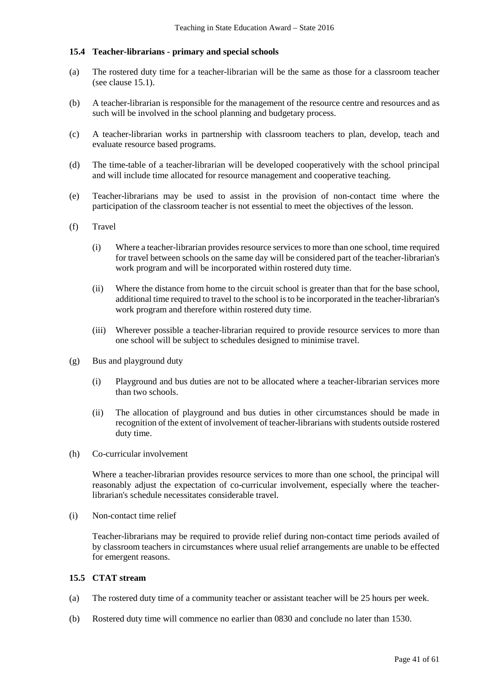### **15.4 Teacher-librarians - primary and special schools**

- (a) The rostered duty time for a teacher-librarian will be the same as those for a classroom teacher (see clause 15.1).
- (b) A teacher-librarian is responsible for the management of the resource centre and resources and as such will be involved in the school planning and budgetary process.
- (c) A teacher-librarian works in partnership with classroom teachers to plan, develop, teach and evaluate resource based programs.
- (d) The time-table of a teacher-librarian will be developed cooperatively with the school principal and will include time allocated for resource management and cooperative teaching.
- (e) Teacher-librarians may be used to assist in the provision of non-contact time where the participation of the classroom teacher is not essential to meet the objectives of the lesson.
- (f) Travel
	- (i) Where a teacher-librarian provides resource services to more than one school, time required for travel between schools on the same day will be considered part of the teacher-librarian's work program and will be incorporated within rostered duty time.
	- (ii) Where the distance from home to the circuit school is greater than that for the base school, additional time required to travel to the school is to be incorporated in the teacher-librarian's work program and therefore within rostered duty time.
	- (iii) Wherever possible a teacher-librarian required to provide resource services to more than one school will be subject to schedules designed to minimise travel.
- (g) Bus and playground duty
	- (i) Playground and bus duties are not to be allocated where a teacher-librarian services more than two schools.
	- (ii) The allocation of playground and bus duties in other circumstances should be made in recognition of the extent of involvement of teacher-librarians with students outside rostered duty time.
- (h) Co-curricular involvement

Where a teacher-librarian provides resource services to more than one school, the principal will reasonably adjust the expectation of co-curricular involvement, especially where the teacherlibrarian's schedule necessitates considerable travel.

(i) Non-contact time relief

Teacher-librarians may be required to provide relief during non-contact time periods availed of by classroom teachers in circumstances where usual relief arrangements are unable to be effected for emergent reasons.

## **15.5 CTAT stream**

- (a) The rostered duty time of a community teacher or assistant teacher will be 25 hours per week.
- (b) Rostered duty time will commence no earlier than 0830 and conclude no later than 1530.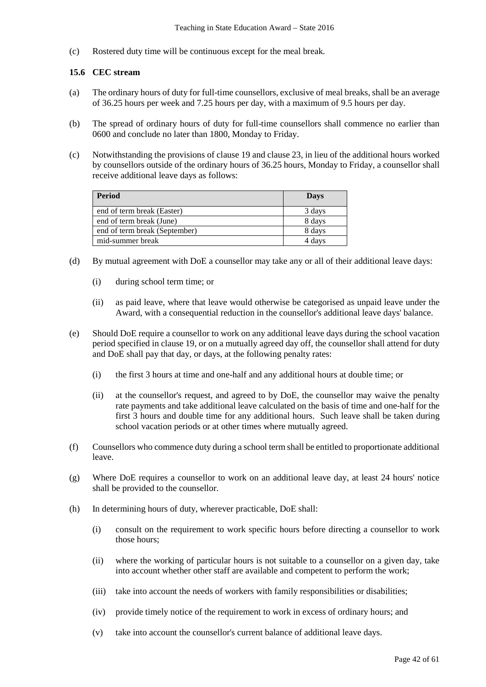(c) Rostered duty time will be continuous except for the meal break.

## **15.6 CEC stream**

- (a) The ordinary hours of duty for full-time counsellors, exclusive of meal breaks, shall be an average of 36.25 hours per week and 7.25 hours per day, with a maximum of 9.5 hours per day.
- (b) The spread of ordinary hours of duty for full-time counsellors shall commence no earlier than 0600 and conclude no later than 1800, Monday to Friday.
- (c) Notwithstanding the provisions of clause 19 and clause 23, in lieu of the additional hours worked by counsellors outside of the ordinary hours of 36.25 hours, Monday to Friday, a counsellor shall receive additional leave days as follows:

| <b>Period</b>                 | Days   |
|-------------------------------|--------|
| end of term break (Easter)    | 3 days |
| end of term break (June)      | 8 days |
| end of term break (September) | 8 days |
| mid-summer break              | 4 davs |

- (d) By mutual agreement with DoE a counsellor may take any or all of their additional leave days:
	- (i) during school term time; or
	- (ii) as paid leave, where that leave would otherwise be categorised as unpaid leave under the Award, with a consequential reduction in the counsellor's additional leave days' balance.
- (e) Should DoE require a counsellor to work on any additional leave days during the school vacation period specified in clause 19, or on a mutually agreed day off, the counsellor shall attend for duty and DoE shall pay that day, or days, at the following penalty rates:
	- (i) the first 3 hours at time and one-half and any additional hours at double time; or
	- (ii) at the counsellor's request, and agreed to by DoE, the counsellor may waive the penalty rate payments and take additional leave calculated on the basis of time and one-half for the first 3 hours and double time for any additional hours. Such leave shall be taken during school vacation periods or at other times where mutually agreed.
- (f) Counsellors who commence duty during a school term shall be entitled to proportionate additional leave.
- (g) Where DoE requires a counsellor to work on an additional leave day, at least 24 hours' notice shall be provided to the counsellor.
- (h) In determining hours of duty, wherever practicable, DoE shall:
	- (i) consult on the requirement to work specific hours before directing a counsellor to work those hours;
	- (ii) where the working of particular hours is not suitable to a counsellor on a given day, take into account whether other staff are available and competent to perform the work;
	- (iii) take into account the needs of workers with family responsibilities or disabilities;
	- (iv) provide timely notice of the requirement to work in excess of ordinary hours; and
	- (v) take into account the counsellor's current balance of additional leave days.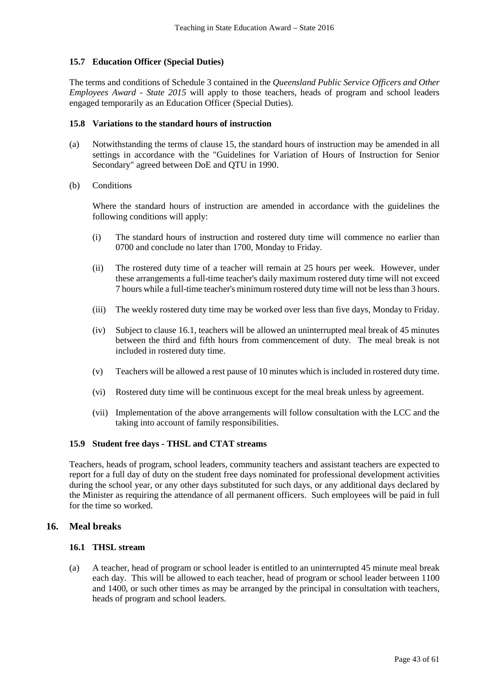## **15.7 Education Officer (Special Duties)**

The terms and conditions of Schedule 3 contained in the *Queensland Public Service Officers and Other Employees Award - State 2015* will apply to those teachers, heads of program and school leaders engaged temporarily as an Education Officer (Special Duties).

#### **15.8 Variations to the standard hours of instruction**

- (a) Notwithstanding the terms of clause 15, the standard hours of instruction may be amended in all settings in accordance with the "Guidelines for Variation of Hours of Instruction for Senior Secondary" agreed between DoE and QTU in 1990.
- (b) Conditions

Where the standard hours of instruction are amended in accordance with the guidelines the following conditions will apply:

- (i) The standard hours of instruction and rostered duty time will commence no earlier than 0700 and conclude no later than 1700, Monday to Friday.
- (ii) The rostered duty time of a teacher will remain at 25 hours per week. However, under these arrangements a full-time teacher's daily maximum rostered duty time will not exceed 7 hours while a full-time teacher's minimum rostered duty time will not be less than 3 hours.
- (iii) The weekly rostered duty time may be worked over less than five days, Monday to Friday.
- (iv) Subject to clause 16.1, teachers will be allowed an uninterrupted meal break of 45 minutes between the third and fifth hours from commencement of duty. The meal break is not included in rostered duty time.
- (v) Teachers will be allowed a rest pause of 10 minutes which is included in rostered duty time.
- (vi) Rostered duty time will be continuous except for the meal break unless by agreement.
- (vii) Implementation of the above arrangements will follow consultation with the LCC and the taking into account of family responsibilities.

## **15.9 Student free days - THSL and CTAT streams**

Teachers, heads of program, school leaders, community teachers and assistant teachers are expected to report for a full day of duty on the student free days nominated for professional development activities during the school year, or any other days substituted for such days, or any additional days declared by the Minister as requiring the attendance of all permanent officers. Such employees will be paid in full for the time so worked.

## **16. Meal breaks**

#### **16.1 THSL stream**

(a) A teacher, head of program or school leader is entitled to an uninterrupted 45 minute meal break each day. This will be allowed to each teacher, head of program or school leader between 1100 and 1400, or such other times as may be arranged by the principal in consultation with teachers, heads of program and school leaders.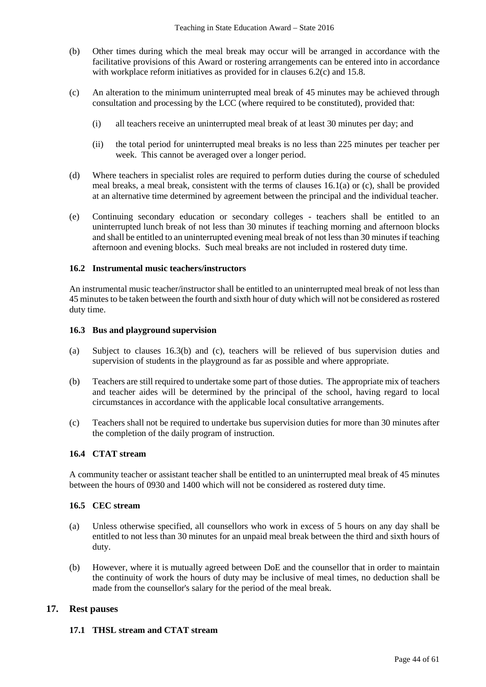- (b) Other times during which the meal break may occur will be arranged in accordance with the facilitative provisions of this Award or rostering arrangements can be entered into in accordance with workplace reform initiatives as provided for in clauses 6.2(c) and 15.8.
- (c) An alteration to the minimum uninterrupted meal break of 45 minutes may be achieved through consultation and processing by the LCC (where required to be constituted), provided that:
	- (i) all teachers receive an uninterrupted meal break of at least 30 minutes per day; and
	- (ii) the total period for uninterrupted meal breaks is no less than 225 minutes per teacher per week. This cannot be averaged over a longer period.
- (d) Where teachers in specialist roles are required to perform duties during the course of scheduled meal breaks, a meal break, consistent with the terms of clauses 16.1(a) or (c), shall be provided at an alternative time determined by agreement between the principal and the individual teacher.
- (e) Continuing secondary education or secondary colleges teachers shall be entitled to an uninterrupted lunch break of not less than 30 minutes if teaching morning and afternoon blocks and shall be entitled to an uninterrupted evening meal break of not less than 30 minutes if teaching afternoon and evening blocks. Such meal breaks are not included in rostered duty time.

### **16.2 Instrumental music teachers/instructors**

An instrumental music teacher/instructor shall be entitled to an uninterrupted meal break of not less than 45 minutes to be taken between the fourth and sixth hour of duty which will not be considered as rostered duty time.

## **16.3 Bus and playground supervision**

- (a) Subject to clauses 16.3(b) and (c), teachers will be relieved of bus supervision duties and supervision of students in the playground as far as possible and where appropriate.
- (b) Teachers are still required to undertake some part of those duties. The appropriate mix of teachers and teacher aides will be determined by the principal of the school, having regard to local circumstances in accordance with the applicable local consultative arrangements.
- (c) Teachers shall not be required to undertake bus supervision duties for more than 30 minutes after the completion of the daily program of instruction.

## **16.4 CTAT stream**

A community teacher or assistant teacher shall be entitled to an uninterrupted meal break of 45 minutes between the hours of 0930 and 1400 which will not be considered as rostered duty time.

## **16.5 CEC stream**

- (a) Unless otherwise specified, all counsellors who work in excess of 5 hours on any day shall be entitled to not less than 30 minutes for an unpaid meal break between the third and sixth hours of duty.
- (b) However, where it is mutually agreed between DoE and the counsellor that in order to maintain the continuity of work the hours of duty may be inclusive of meal times, no deduction shall be made from the counsellor's salary for the period of the meal break.

## **17. Rest pauses**

## **17.1 THSL stream and CTAT stream**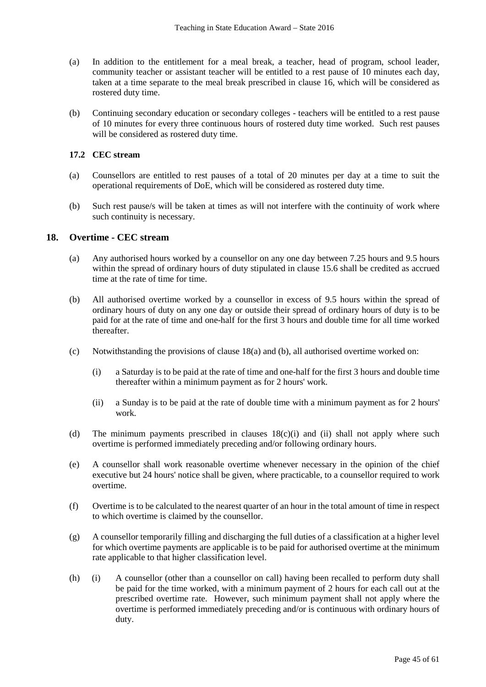- (a) In addition to the entitlement for a meal break, a teacher, head of program, school leader, community teacher or assistant teacher will be entitled to a rest pause of 10 minutes each day, taken at a time separate to the meal break prescribed in clause 16, which will be considered as rostered duty time.
- (b) Continuing secondary education or secondary colleges teachers will be entitled to a rest pause of 10 minutes for every three continuous hours of rostered duty time worked. Such rest pauses will be considered as rostered duty time.

## **17.2 CEC stream**

- (a) Counsellors are entitled to rest pauses of a total of 20 minutes per day at a time to suit the operational requirements of DoE, which will be considered as rostered duty time.
- (b) Such rest pause/s will be taken at times as will not interfere with the continuity of work where such continuity is necessary.

## **18. Overtime - CEC stream**

- (a) Any authorised hours worked by a counsellor on any one day between 7.25 hours and 9.5 hours within the spread of ordinary hours of duty stipulated in clause 15.6 shall be credited as accrued time at the rate of time for time.
- (b) All authorised overtime worked by a counsellor in excess of 9.5 hours within the spread of ordinary hours of duty on any one day or outside their spread of ordinary hours of duty is to be paid for at the rate of time and one-half for the first 3 hours and double time for all time worked thereafter.
- (c) Notwithstanding the provisions of clause 18(a) and (b), all authorised overtime worked on:
	- (i) a Saturday is to be paid at the rate of time and one-half for the first 3 hours and double time thereafter within a minimum payment as for 2 hours' work.
	- (ii) a Sunday is to be paid at the rate of double time with a minimum payment as for 2 hours' work.
- (d) The minimum payments prescribed in clauses 18(c)(i) and (ii) shall not apply where such overtime is performed immediately preceding and/or following ordinary hours.
- (e) A counsellor shall work reasonable overtime whenever necessary in the opinion of the chief executive but 24 hours' notice shall be given, where practicable, to a counsellor required to work overtime.
- (f) Overtime is to be calculated to the nearest quarter of an hour in the total amount of time in respect to which overtime is claimed by the counsellor.
- (g) A counsellor temporarily filling and discharging the full duties of a classification at a higher level for which overtime payments are applicable is to be paid for authorised overtime at the minimum rate applicable to that higher classification level.
- (h) (i) A counsellor (other than a counsellor on call) having been recalled to perform duty shall be paid for the time worked, with a minimum payment of 2 hours for each call out at the prescribed overtime rate. However, such minimum payment shall not apply where the overtime is performed immediately preceding and/or is continuous with ordinary hours of duty.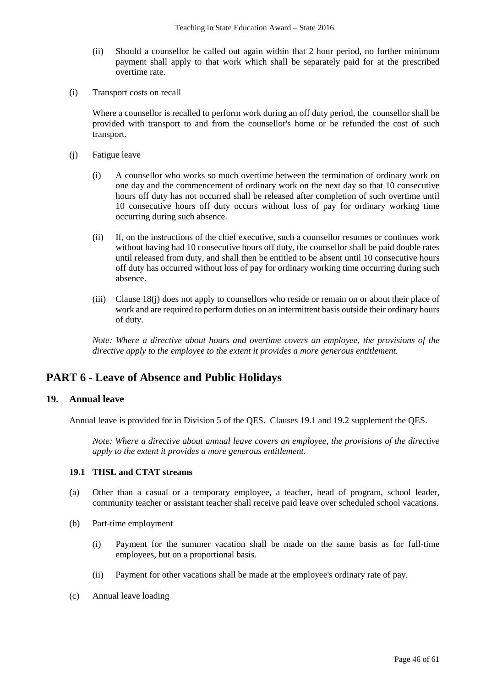- (ii) Should a counsellor be called out again within that 2 hour period, no further minimum payment shall apply to that work which shall be separately paid for at the prescribed overtime rate.
- (i) Transport costs on recall

Where a counsellor is recalled to perform work during an off duty period, the counsellor shall be provided with transport to and from the counsellor's home or be refunded the cost of such transport.

- (j) Fatigue leave
	- (i) A counsellor who works so much overtime between the termination of ordinary work on one day and the commencement of ordinary work on the next day so that 10 consecutive hours off duty has not occurred shall be released after completion of such overtime until 10 consecutive hours off duty occurs without loss of pay for ordinary working time occurring during such absence.
	- (ii) If, on the instructions of the chief executive, such a counsellor resumes or continues work without having had 10 consecutive hours off duty, the counsellor shall be paid double rates until released from duty, and shall then be entitled to be absent until 10 consecutive hours off duty has occurred without loss of pay for ordinary working time occurring during such absence.
	- (iii) Clause 18(j) does not apply to counsellors who reside or remain on or about their place of work and are required to perform duties on an intermittent basis outside their ordinary hours of duty.

*Note: Where a directive about hours and overtime covers an employee, the provisions of the directive apply to the employee to the extent it provides a more generous entitlement.*

# **PART 6 - Leave of Absence and Public Holidays**

## **19. Annual leave**

Annual leave is provided for in Division 5 of the QES. Clauses 19.1 and 19.2 supplement the QES.

*Note: Where a directive about annual leave covers an employee, the provisions of the directive apply to the extent it provides a more generous entitlement.* 

## **19.1 THSL and CTAT streams**

- (a) Other than a casual or a temporary employee, a teacher, head of program, school leader, community teacher or assistant teacher shall receive paid leave over scheduled school vacations.
- (b) Part-time employment
	- (i) Payment for the summer vacation shall be made on the same basis as for full-time employees, but on a proportional basis.
	- (ii) Payment for other vacations shall be made at the employee's ordinary rate of pay.
- (c) Annual leave loading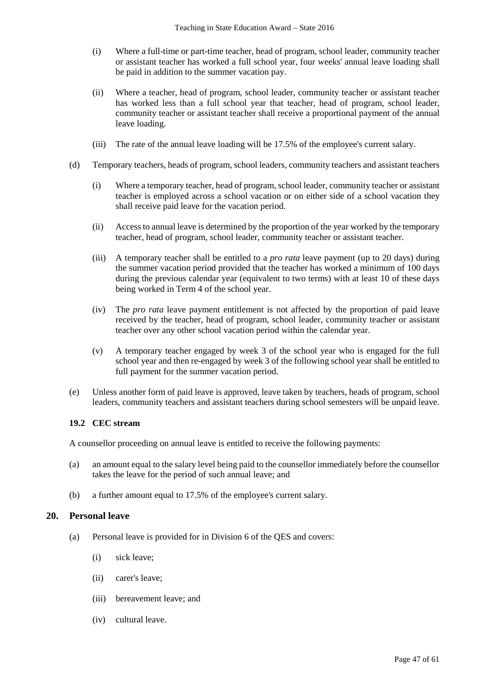- (i) Where a full-time or part-time teacher, head of program, school leader, community teacher or assistant teacher has worked a full school year, four weeks' annual leave loading shall be paid in addition to the summer vacation pay.
- (ii) Where a teacher, head of program, school leader, community teacher or assistant teacher has worked less than a full school year that teacher, head of program, school leader, community teacher or assistant teacher shall receive a proportional payment of the annual leave loading.
- (iii) The rate of the annual leave loading will be 17.5% of the employee's current salary.
- (d) Temporary teachers, heads of program, school leaders, community teachers and assistant teachers
	- (i) Where a temporary teacher, head of program, school leader, community teacher or assistant teacher is employed across a school vacation or on either side of a school vacation they shall receive paid leave for the vacation period.
	- (ii) Access to annual leave is determined by the proportion of the year worked by the temporary teacher, head of program, school leader, community teacher or assistant teacher.
	- (iii) A temporary teacher shall be entitled to a *pro rata* leave payment (up to 20 days) during the summer vacation period provided that the teacher has worked a minimum of 100 days during the previous calendar year (equivalent to two terms) with at least 10 of these days being worked in Term 4 of the school year.
	- (iv) The *pro rata* leave payment entitlement is not affected by the proportion of paid leave received by the teacher, head of program, school leader, community teacher or assistant teacher over any other school vacation period within the calendar year.
	- (v) A temporary teacher engaged by week 3 of the school year who is engaged for the full school year and then re-engaged by week 3 of the following school year shall be entitled to full payment for the summer vacation period.
- (e) Unless another form of paid leave is approved, leave taken by teachers, heads of program, school leaders, community teachers and assistant teachers during school semesters will be unpaid leave.

## **19.2 CEC stream**

A counsellor proceeding on annual leave is entitled to receive the following payments:

- (a) an amount equal to the salary level being paid to the counsellor immediately before the counsellor takes the leave for the period of such annual leave; and
- (b) a further amount equal to 17.5% of the employee's current salary.

## **20. Personal leave**

- (a) Personal leave is provided for in Division 6 of the QES and covers:
	- (i) sick leave;
	- (ii) carer's leave;
	- (iii) bereavement leave; and
	- (iv) cultural leave.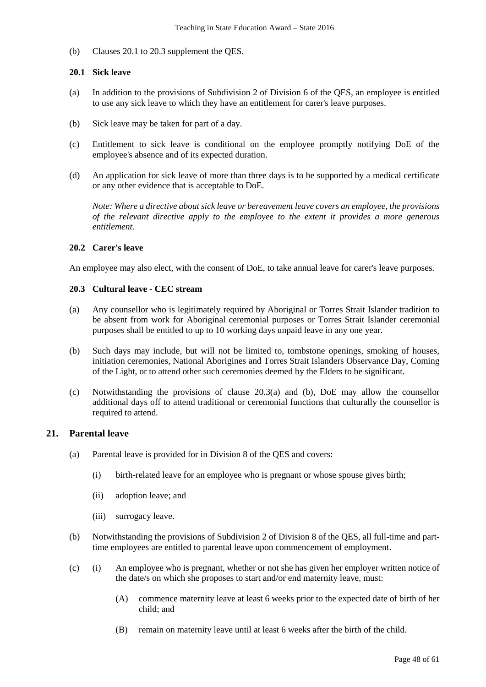(b) Clauses 20.1 to 20.3 supplement the QES.

## **20.1 Sick leave**

- (a) In addition to the provisions of Subdivision 2 of Division 6 of the QES, an employee is entitled to use any sick leave to which they have an entitlement for carer's leave purposes.
- (b) Sick leave may be taken for part of a day.
- (c) Entitlement to sick leave is conditional on the employee promptly notifying DoE of the employee's absence and of its expected duration.
- (d) An application for sick leave of more than three days is to be supported by a medical certificate or any other evidence that is acceptable to DoE.

*Note: Where a directive about sick leave or bereavement leave covers an employee, the provisions of the relevant directive apply to the employee to the extent it provides a more generous entitlement.* 

## **20.2 Carer's leave**

An employee may also elect, with the consent of DoE, to take annual leave for carer's leave purposes.

### **20.3 Cultural leave - CEC stream**

- (a) Any counsellor who is legitimately required by Aboriginal or Torres Strait Islander tradition to be absent from work for Aboriginal ceremonial purposes or Torres Strait Islander ceremonial purposes shall be entitled to up to 10 working days unpaid leave in any one year.
- (b) Such days may include, but will not be limited to, tombstone openings, smoking of houses, initiation ceremonies, National Aborigines and Torres Strait Islanders Observance Day, Coming of the Light, or to attend other such ceremonies deemed by the Elders to be significant.
- (c) Notwithstanding the provisions of clause 20.3(a) and (b), DoE may allow the counsellor additional days off to attend traditional or ceremonial functions that culturally the counsellor is required to attend.

## **21. Parental leave**

- (a) Parental leave is provided for in Division 8 of the QES and covers:
	- (i) birth-related leave for an employee who is pregnant or whose spouse gives birth;
	- (ii) adoption leave; and
	- (iii) surrogacy leave.
- (b) Notwithstanding the provisions of Subdivision 2 of Division 8 of the QES, all full-time and parttime employees are entitled to parental leave upon commencement of employment.
- (c) (i) An employee who is pregnant, whether or not she has given her employer written notice of the date/s on which she proposes to start and/or end maternity leave, must:
	- (A) commence maternity leave at least 6 weeks prior to the expected date of birth of her child; and
	- (B) remain on maternity leave until at least 6 weeks after the birth of the child.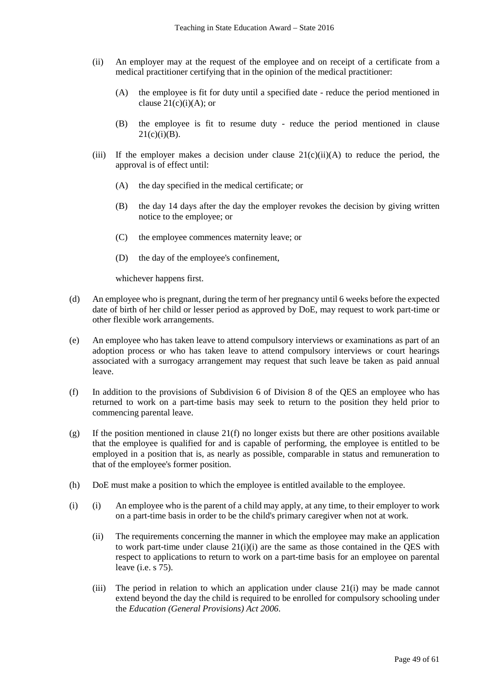- (ii) An employer may at the request of the employee and on receipt of a certificate from a medical practitioner certifying that in the opinion of the medical practitioner:
	- (A) the employee is fit for duty until a specified date reduce the period mentioned in clause  $21(c)(i)(A)$ ; or
	- (B) the employee is fit to resume duty reduce the period mentioned in clause  $21(c)(i)(B)$ .
- (iii) If the employer makes a decision under clause  $21(c)(ii)(A)$  to reduce the period, the approval is of effect until:
	- (A) the day specified in the medical certificate; or
	- (B) the day 14 days after the day the employer revokes the decision by giving written notice to the employee; or
	- (C) the employee commences maternity leave; or
	- (D) the day of the employee's confinement,

whichever happens first.

- (d) An employee who is pregnant, during the term of her pregnancy until 6 weeks before the expected date of birth of her child or lesser period as approved by DoE, may request to work part-time or other flexible work arrangements.
- (e) An employee who has taken leave to attend compulsory interviews or examinations as part of an adoption process or who has taken leave to attend compulsory interviews or court hearings associated with a surrogacy arrangement may request that such leave be taken as paid annual leave.
- (f) In addition to the provisions of Subdivision 6 of Division 8 of the QES an employee who has returned to work on a part-time basis may seek to return to the position they held prior to commencing parental leave.
- (g) If the position mentioned in clause 21(f) no longer exists but there are other positions available that the employee is qualified for and is capable of performing, the employee is entitled to be employed in a position that is, as nearly as possible, comparable in status and remuneration to that of the employee's former position.
- (h) DoE must make a position to which the employee is entitled available to the employee.
- (i) (i) An employee who is the parent of a child may apply, at any time, to their employer to work on a part-time basis in order to be the child's primary caregiver when not at work.
	- (ii) The requirements concerning the manner in which the employee may make an application to work part-time under clause  $21(i)(i)$  are the same as those contained in the QES with respect to applications to return to work on a part-time basis for an employee on parental leave (i.e.  $\overline{s}$  75).
	- (iii) The period in relation to which an application under clause 21(i) may be made cannot extend beyond the day the child is required to be enrolled for compulsory schooling under the *Education (General Provisions) Act 2006*.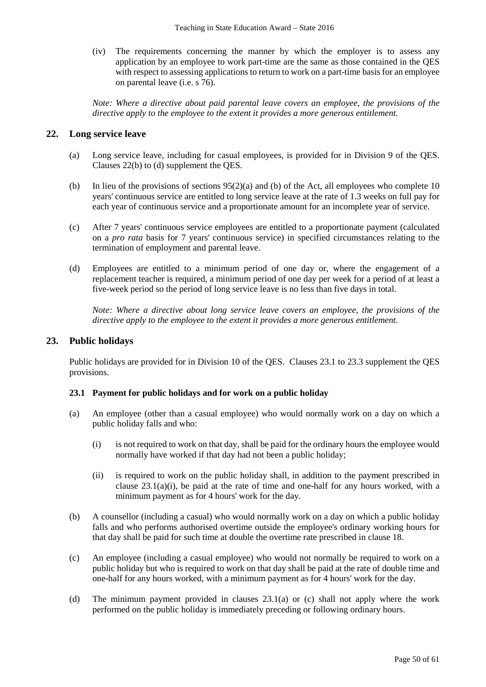(iv) The requirements concerning the manner by which the employer is to assess any application by an employee to work part-time are the same as those contained in the QES with respect to assessing applications to return to work on a part-time basis for an employee on parental leave (i.e. s 76).

*Note: Where a directive about paid parental leave covers an employee, the provisions of the directive apply to the employee to the extent it provides a more generous entitlement.*

## **22. Long service leave**

- (a) Long service leave, including for casual employees, is provided for in Division 9 of the QES. Clauses 22(b) to (d) supplement the QES.
- (b) In lieu of the provisions of sections 95(2)(a) and (b) of the Act, all employees who complete 10 years' continuous service are entitled to long service leave at the rate of 1.3 weeks on full pay for each year of continuous service and a proportionate amount for an incomplete year of service.
- (c) After 7 years' continuous service employees are entitled to a proportionate payment (calculated on a *pro rata* basis for 7 years' continuous service) in specified circumstances relating to the termination of employment and parental leave.
- (d) Employees are entitled to a minimum period of one day or, where the engagement of a replacement teacher is required, a minimum period of one day per week for a period of at least a five-week period so the period of long service leave is no less than five days in total.

*Note: Where a directive about long service leave covers an employee, the provisions of the directive apply to the employee to the extent it provides a more generous entitlement.*

## **23. Public holidays**

Public holidays are provided for in Division 10 of the QES. Clauses 23.1 to 23.3 supplement the QES provisions.

## **23.1 Payment for public holidays and for work on a public holiday**

- (a) An employee (other than a casual employee) who would normally work on a day on which a public holiday falls and who:
	- (i) is not required to work on that day, shall be paid for the ordinary hours the employee would normally have worked if that day had not been a public holiday;
	- (ii) is required to work on the public holiday shall, in addition to the payment prescribed in clause 23.1(a)(i), be paid at the rate of time and one-half for any hours worked, with a minimum payment as for 4 hours' work for the day.
- (b) A counsellor (including a casual) who would normally work on a day on which a public holiday falls and who performs authorised overtime outside the employee's ordinary working hours for that day shall be paid for such time at double the overtime rate prescribed in clause 18.
- (c) An employee (including a casual employee) who would not normally be required to work on a public holiday but who is required to work on that day shall be paid at the rate of double time and one-half for any hours worked, with a minimum payment as for 4 hours' work for the day.
- (d) The minimum payment provided in clauses 23.1(a) or (c) shall not apply where the work performed on the public holiday is immediately preceding or following ordinary hours.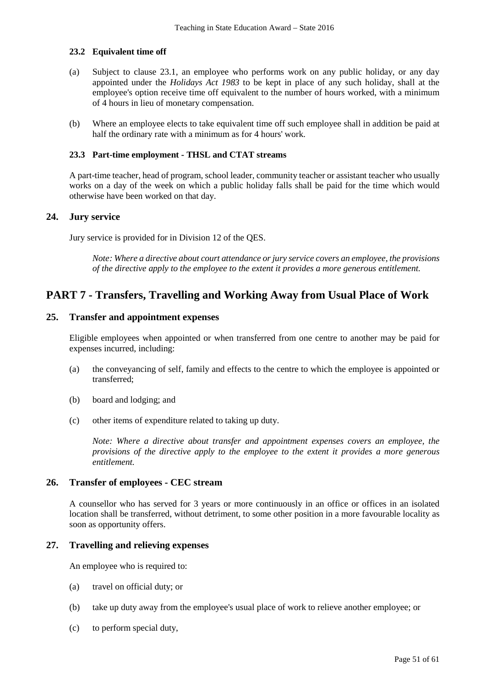## **23.2 Equivalent time off**

- (a) Subject to clause 23.1, an employee who performs work on any public holiday, or any day appointed under the *Holidays Act 1983* to be kept in place of any such holiday, shall at the employee's option receive time off equivalent to the number of hours worked, with a minimum of 4 hours in lieu of monetary compensation.
- (b) Where an employee elects to take equivalent time off such employee shall in addition be paid at half the ordinary rate with a minimum as for 4 hours' work.

### **23.3 Part-time employment - THSL and CTAT streams**

A part-time teacher, head of program, school leader, community teacher or assistant teacher who usually works on a day of the week on which a public holiday falls shall be paid for the time which would otherwise have been worked on that day.

## **24. Jury service**

Jury service is provided for in Division 12 of the QES.

*Note: Where a directive about court attendance or jury service covers an employee, the provisions of the directive apply to the employee to the extent it provides a more generous entitlement.* 

# **PART 7 - Transfers, Travelling and Working Away from Usual Place of Work**

## **25. Transfer and appointment expenses**

Eligible employees when appointed or when transferred from one centre to another may be paid for expenses incurred, including:

- (a) the conveyancing of self, family and effects to the centre to which the employee is appointed or transferred;
- (b) board and lodging; and
- (c) other items of expenditure related to taking up duty.

*Note: Where a directive about transfer and appointment expenses covers an employee, the provisions of the directive apply to the employee to the extent it provides a more generous entitlement.*

## **26. Transfer of employees - CEC stream**

A counsellor who has served for 3 years or more continuously in an office or offices in an isolated location shall be transferred, without detriment, to some other position in a more favourable locality as soon as opportunity offers.

## **27. Travelling and relieving expenses**

An employee who is required to:

- (a) travel on official duty; or
- (b) take up duty away from the employee's usual place of work to relieve another employee; or
- (c) to perform special duty,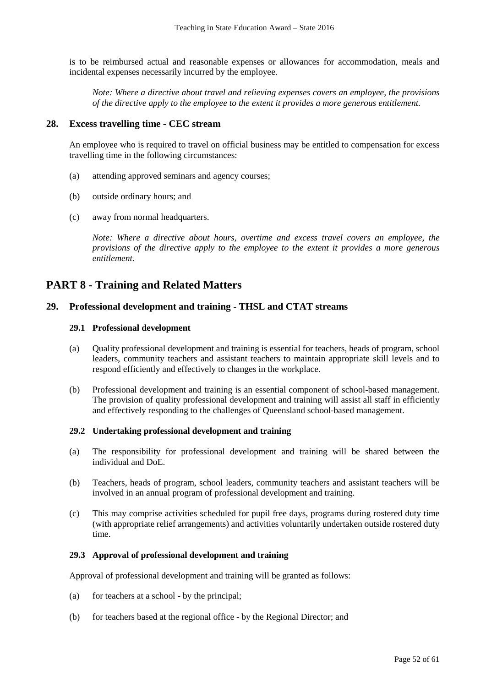is to be reimbursed actual and reasonable expenses or allowances for accommodation, meals and incidental expenses necessarily incurred by the employee.

*Note: Where a directive about travel and relieving expenses covers an employee, the provisions of the directive apply to the employee to the extent it provides a more generous entitlement.*

## **28. Excess travelling time - CEC stream**

An employee who is required to travel on official business may be entitled to compensation for excess travelling time in the following circumstances:

- (a) attending approved seminars and agency courses;
- (b) outside ordinary hours; and
- (c) away from normal headquarters.

*Note: Where a directive about hours, overtime and excess travel covers an employee, the provisions of the directive apply to the employee to the extent it provides a more generous entitlement.*

# **PART 8 - Training and Related Matters**

## **29. Professional development and training - THSL and CTAT streams**

#### **29.1 Professional development**

- (a) Quality professional development and training is essential for teachers, heads of program, school leaders, community teachers and assistant teachers to maintain appropriate skill levels and to respond efficiently and effectively to changes in the workplace.
- (b) Professional development and training is an essential component of school-based management. The provision of quality professional development and training will assist all staff in efficiently and effectively responding to the challenges of Queensland school-based management.

#### **29.2 Undertaking professional development and training**

- (a) The responsibility for professional development and training will be shared between the individual and DoE.
- (b) Teachers, heads of program, school leaders, community teachers and assistant teachers will be involved in an annual program of professional development and training.
- (c) This may comprise activities scheduled for pupil free days, programs during rostered duty time (with appropriate relief arrangements) and activities voluntarily undertaken outside rostered duty time.

#### **29.3 Approval of professional development and training**

Approval of professional development and training will be granted as follows:

- (a) for teachers at a school by the principal;
- (b) for teachers based at the regional office by the Regional Director; and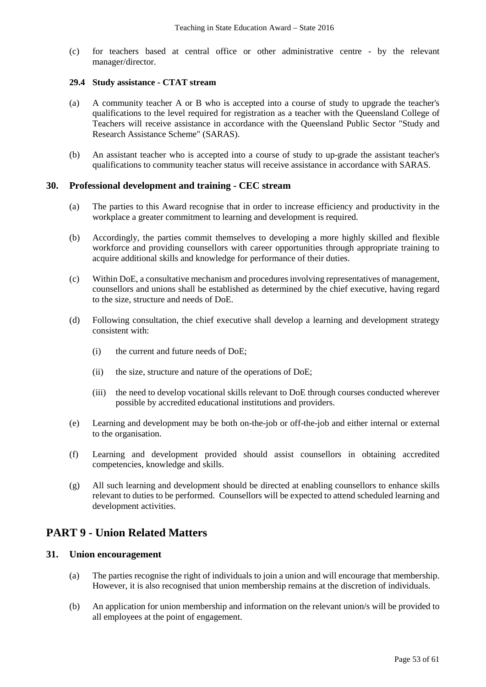(c) for teachers based at central office or other administrative centre - by the relevant manager/director.

#### **29.4 Study assistance - CTAT stream**

- (a) A community teacher A or B who is accepted into a course of study to upgrade the teacher's qualifications to the level required for registration as a teacher with the Queensland College of Teachers will receive assistance in accordance with the Queensland Public Sector "Study and Research Assistance Scheme" (SARAS).
- (b) An assistant teacher who is accepted into a course of study to up-grade the assistant teacher's qualifications to community teacher status will receive assistance in accordance with SARAS.

## **30. Professional development and training - CEC stream**

- (a) The parties to this Award recognise that in order to increase efficiency and productivity in the workplace a greater commitment to learning and development is required.
- (b) Accordingly, the parties commit themselves to developing a more highly skilled and flexible workforce and providing counsellors with career opportunities through appropriate training to acquire additional skills and knowledge for performance of their duties.
- (c) Within DoE, a consultative mechanism and procedures involving representatives of management, counsellors and unions shall be established as determined by the chief executive, having regard to the size, structure and needs of DoE.
- (d) Following consultation, the chief executive shall develop a learning and development strategy consistent with:
	- (i) the current and future needs of DoE;
	- (ii) the size, structure and nature of the operations of DoE;
	- (iii) the need to develop vocational skills relevant to DoE through courses conducted wherever possible by accredited educational institutions and providers.
- (e) Learning and development may be both on-the-job or off-the-job and either internal or external to the organisation.
- (f) Learning and development provided should assist counsellors in obtaining accredited competencies, knowledge and skills.
- (g) All such learning and development should be directed at enabling counsellors to enhance skills relevant to duties to be performed. Counsellors will be expected to attend scheduled learning and development activities.

# **PART 9 - Union Related Matters**

## **31. Union encouragement**

- (a) The parties recognise the right of individuals to join a union and will encourage that membership. However, it is also recognised that union membership remains at the discretion of individuals.
- (b) An application for union membership and information on the relevant union/s will be provided to all employees at the point of engagement.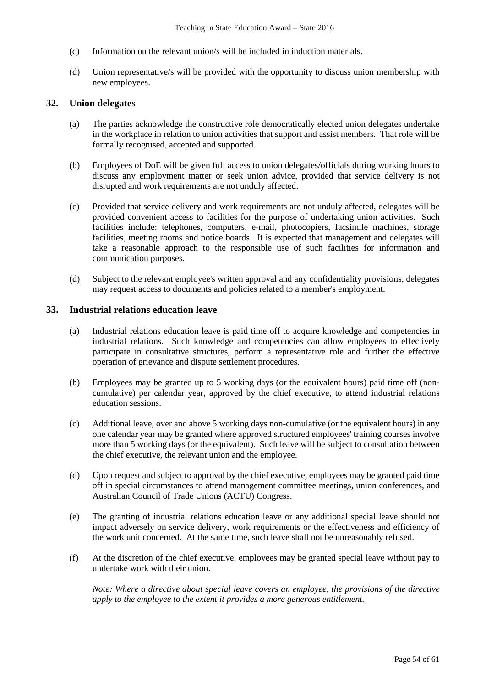- (c) Information on the relevant union/s will be included in induction materials.
- (d) Union representative/s will be provided with the opportunity to discuss union membership with new employees.

## **32. Union delegates**

- (a) The parties acknowledge the constructive role democratically elected union delegates undertake in the workplace in relation to union activities that support and assist members. That role will be formally recognised, accepted and supported.
- (b) Employees of DoE will be given full access to union delegates/officials during working hours to discuss any employment matter or seek union advice, provided that service delivery is not disrupted and work requirements are not unduly affected.
- (c) Provided that service delivery and work requirements are not unduly affected, delegates will be provided convenient access to facilities for the purpose of undertaking union activities. Such facilities include: telephones, computers, e-mail, photocopiers, facsimile machines, storage facilities, meeting rooms and notice boards. It is expected that management and delegates will take a reasonable approach to the responsible use of such facilities for information and communication purposes.
- (d) Subject to the relevant employee's written approval and any confidentiality provisions, delegates may request access to documents and policies related to a member's employment.

## **33. Industrial relations education leave**

- (a) Industrial relations education leave is paid time off to acquire knowledge and competencies in industrial relations. Such knowledge and competencies can allow employees to effectively participate in consultative structures, perform a representative role and further the effective operation of grievance and dispute settlement procedures.
- (b) Employees may be granted up to 5 working days (or the equivalent hours) paid time off (noncumulative) per calendar year, approved by the chief executive, to attend industrial relations education sessions.
- (c) Additional leave, over and above 5 working days non-cumulative (or the equivalent hours) in any one calendar year may be granted where approved structured employees' training courses involve more than 5 working days (or the equivalent). Such leave will be subject to consultation between the chief executive, the relevant union and the employee.
- (d) Upon request and subject to approval by the chief executive, employees may be granted paid time off in special circumstances to attend management committee meetings, union conferences, and Australian Council of Trade Unions (ACTU) Congress.
- (e) The granting of industrial relations education leave or any additional special leave should not impact adversely on service delivery, work requirements or the effectiveness and efficiency of the work unit concerned. At the same time, such leave shall not be unreasonably refused.
- (f) At the discretion of the chief executive, employees may be granted special leave without pay to undertake work with their union.

*Note: Where a directive about special leave covers an employee, the provisions of the directive apply to the employee to the extent it provides a more generous entitlement.*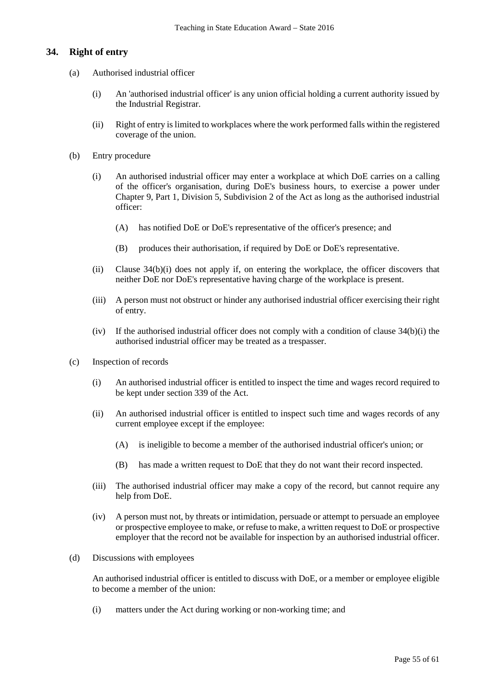## **34. Right of entry**

- (a) Authorised industrial officer
	- (i) An 'authorised industrial officer' is any union official holding a current authority issued by the Industrial Registrar.
	- (ii) Right of entry is limited to workplaces where the work performed falls within the registered coverage of the union.
- (b) Entry procedure
	- (i) An authorised industrial officer may enter a workplace at which DoE carries on a calling of the officer's organisation, during DoE's business hours, to exercise a power under Chapter 9, Part 1, Division 5, Subdivision 2 of the Act as long as the authorised industrial officer:
		- (A) has notified DoE or DoE's representative of the officer's presence; and
		- (B) produces their authorisation, if required by DoE or DoE's representative.
	- (ii) Clause 34(b)(i) does not apply if, on entering the workplace, the officer discovers that neither DoE nor DoE's representative having charge of the workplace is present.
	- (iii) A person must not obstruct or hinder any authorised industrial officer exercising their right of entry.
	- (iv) If the authorised industrial officer does not comply with a condition of clause  $34(b)(i)$  the authorised industrial officer may be treated as a trespasser.
- (c) Inspection of records
	- (i) An authorised industrial officer is entitled to inspect the time and wages record required to be kept under section 339 of the Act.
	- (ii) An authorised industrial officer is entitled to inspect such time and wages records of any current employee except if the employee:
		- (A) is ineligible to become a member of the authorised industrial officer's union; or
		- (B) has made a written request to DoE that they do not want their record inspected.
	- (iii) The authorised industrial officer may make a copy of the record, but cannot require any help from DoE.
	- (iv) A person must not, by threats or intimidation, persuade or attempt to persuade an employee or prospective employee to make, or refuse to make, a written request to DoE or prospective employer that the record not be available for inspection by an authorised industrial officer.
- (d) Discussions with employees

An authorised industrial officer is entitled to discuss with DoE, or a member or employee eligible to become a member of the union:

(i) matters under the Act during working or non-working time; and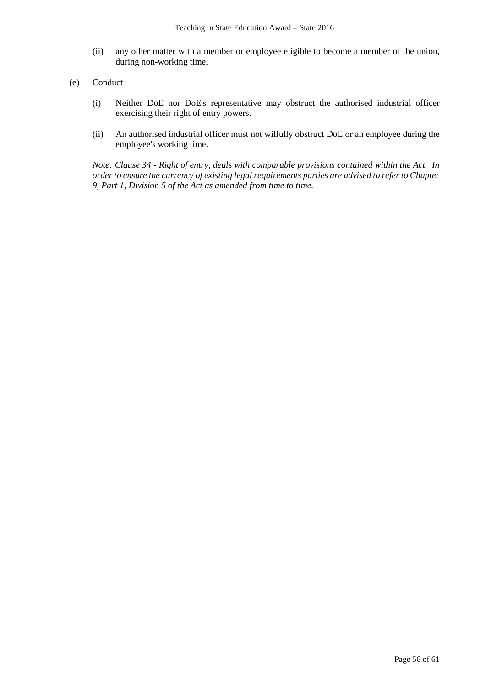- (ii) any other matter with a member or employee eligible to become a member of the union, during non-working time.
- (e) Conduct
	- (i) Neither DoE nor DoE's representative may obstruct the authorised industrial officer exercising their right of entry powers.
	- (ii) An authorised industrial officer must not wilfully obstruct DoE or an employee during the employee's working time.

*Note: Clause 34 - Right of entry, deals with comparable provisions contained within the Act. In order to ensure the currency of existing legal requirements parties are advised to refer to Chapter 9, Part 1, Division 5 of the Act as amended from time to time.*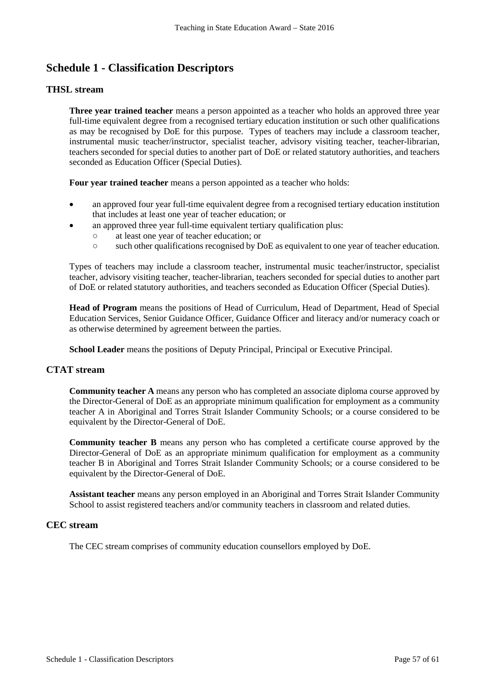# **Schedule 1 - Classification Descriptors**

## **THSL stream**

**Three year trained teacher** means a person appointed as a teacher who holds an approved three year full-time equivalent degree from a recognised tertiary education institution or such other qualifications as may be recognised by DoE for this purpose. Types of teachers may include a classroom teacher, instrumental music teacher/instructor, specialist teacher, advisory visiting teacher, teacher-librarian, teachers seconded for special duties to another part of DoE or related statutory authorities, and teachers seconded as Education Officer (Special Duties).

**Four year trained teacher** means a person appointed as a teacher who holds:

- an approved four year full-time equivalent degree from a recognised tertiary education institution that includes at least one year of teacher education; or
	- an approved three year full-time equivalent tertiary qualification plus:
		- at least one year of teacher education; or
		- such other qualifications recognised by DoE as equivalent to one year of teacher education.

Types of teachers may include a classroom teacher, instrumental music teacher/instructor, specialist teacher, advisory visiting teacher, teacher-librarian, teachers seconded for special duties to another part of DoE or related statutory authorities, and teachers seconded as Education Officer (Special Duties).

**Head of Program** means the positions of Head of Curriculum, Head of Department, Head of Special Education Services, Senior Guidance Officer, Guidance Officer and literacy and/or numeracy coach or as otherwise determined by agreement between the parties.

**School Leader** means the positions of Deputy Principal, Principal or Executive Principal.

## **CTAT stream**

**Community teacher A** means any person who has completed an associate diploma course approved by the Director-General of DoE as an appropriate minimum qualification for employment as a community teacher A in Aboriginal and Torres Strait Islander Community Schools; or a course considered to be equivalent by the Director-General of DoE.

**Community teacher B** means any person who has completed a certificate course approved by the Director-General of DoE as an appropriate minimum qualification for employment as a community teacher B in Aboriginal and Torres Strait Islander Community Schools; or a course considered to be equivalent by the Director-General of DoE.

**Assistant teacher** means any person employed in an Aboriginal and Torres Strait Islander Community School to assist registered teachers and/or community teachers in classroom and related duties.

## **CEC stream**

The CEC stream comprises of community education counsellors employed by DoE.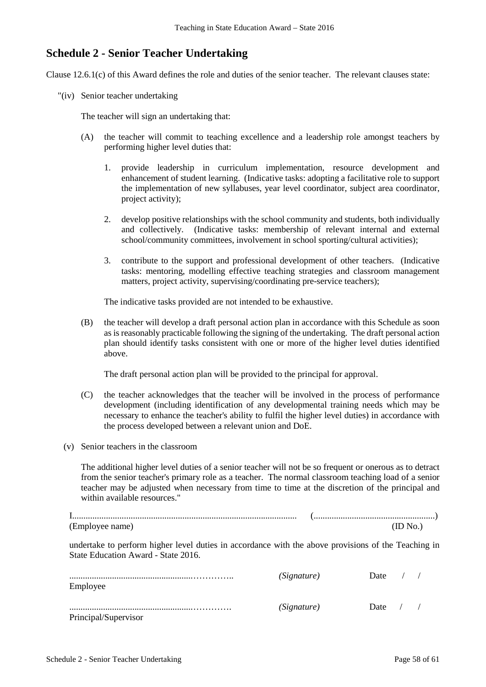# **Schedule 2 - Senior Teacher Undertaking**

Clause 12.6.1(c) of this Award defines the role and duties of the senior teacher. The relevant clauses state:

"(iv) Senior teacher undertaking

The teacher will sign an undertaking that:

- (A) the teacher will commit to teaching excellence and a leadership role amongst teachers by performing higher level duties that:
	- 1. provide leadership in curriculum implementation, resource development and enhancement of student learning. (Indicative tasks: adopting a facilitative role to support the implementation of new syllabuses, year level coordinator, subject area coordinator, project activity);
	- 2. develop positive relationships with the school community and students, both individually and collectively. (Indicative tasks: membership of relevant internal and external school/community committees, involvement in school sporting/cultural activities);
	- 3. contribute to the support and professional development of other teachers. (Indicative tasks: mentoring, modelling effective teaching strategies and classroom management matters, project activity, supervising/coordinating pre-service teachers);

The indicative tasks provided are not intended to be exhaustive.

(B) the teacher will develop a draft personal action plan in accordance with this Schedule as soon as is reasonably practicable following the signing of the undertaking. The draft personal action plan should identify tasks consistent with one or more of the higher level duties identified above.

The draft personal action plan will be provided to the principal for approval.

- (C) the teacher acknowledges that the teacher will be involved in the process of performance development (including identification of any developmental training needs which may be necessary to enhance the teacher's ability to fulfil the higher level duties) in accordance with the process developed between a relevant union and DoE.
- (v) Senior teachers in the classroom

The additional higher level duties of a senior teacher will not be so frequent or onerous as to detract from the senior teacher's primary role as a teacher. The normal classroom teaching load of a senior teacher may be adjusted when necessary from time to time at the discretion of the principal and within available resources."

| (Employee name) |  |
|-----------------|--|

undertake to perform higher level duties in accordance with the above provisions of the Teaching in State Education Award - State 2016.

| Employee             | (Signature) | Date |  |
|----------------------|-------------|------|--|
| Principal/Supervisor | (Signature) | Date |  |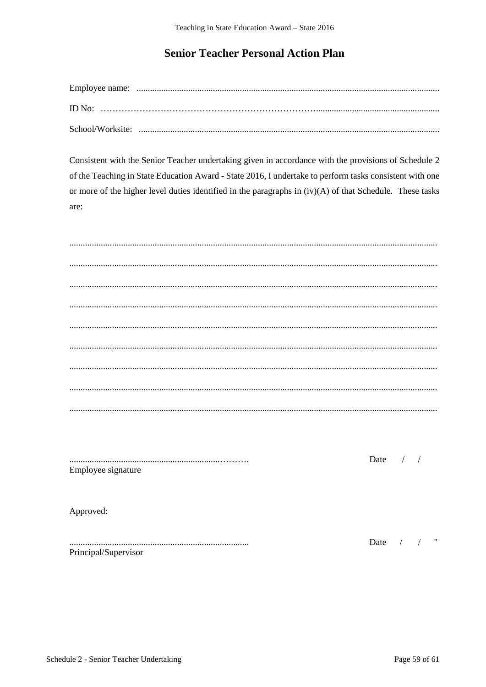# **Senior Teacher Personal Action Plan**

Consistent with the Senior Teacher undertaking given in accordance with the provisions of Schedule 2 of the Teaching in State Education Award - State 2016, I undertake to perform tasks consistent with one or more of the higher level duties identified in the paragraphs in  $(iv)(A)$  of that Schedule. These tasks are:

| Employee signature | Date $/$ / |               |                          |                          |
|--------------------|------------|---------------|--------------------------|--------------------------|
|                    |            |               |                          |                          |
| Approved:          |            |               |                          |                          |
|                    |            |               |                          |                          |
|                    | Date       | $\frac{1}{2}$ | $\overline{\phantom{a}}$ | $\overline{\phantom{a}}$ |

Principal/Supervisor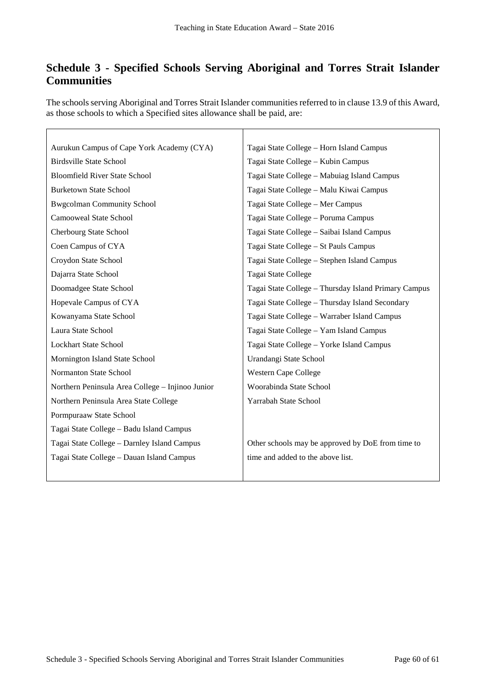# **Schedule 3 - Specified Schools Serving Aboriginal and Torres Strait Islander Communities**

The schools serving Aboriginal and Torres Strait Islander communities referred to in clause 13.9 of this Award, as those schools to which a Specified sites allowance shall be paid, are:

 $\mathbf{r}$ 

| Aurukun Campus of Cape York Academy (CYA)        | Tagai State College - Horn Island Campus             |
|--------------------------------------------------|------------------------------------------------------|
| <b>Birdsville State School</b>                   | Tagai State College - Kubin Campus                   |
| <b>Bloomfield River State School</b>             | Tagai State College - Mabuiag Island Campus          |
| <b>Burketown State School</b>                    | Tagai State College - Malu Kiwai Campus              |
| <b>Bwgcolman Community School</b>                | Tagai State College - Mer Campus                     |
| Camooweal State School                           | Tagai State College - Poruma Campus                  |
| Cherbourg State School                           | Tagai State College - Saibai Island Campus           |
| Coen Campus of CYA                               | Tagai State College - St Pauls Campus                |
| Croydon State School                             | Tagai State College - Stephen Island Campus          |
| Dajarra State School                             | Tagai State College                                  |
| Doomadgee State School                           | Tagai State College - Thursday Island Primary Campus |
| Hopevale Campus of CYA                           | Tagai State College - Thursday Island Secondary      |
| Kowanyama State School                           | Tagai State College - Warraber Island Campus         |
| Laura State School                               | Tagai State College - Yam Island Campus              |
| <b>Lockhart State School</b>                     | Tagai State College - Yorke Island Campus            |
| Mornington Island State School                   | Urandangi State School                               |
| Normanton State School                           | Western Cape College                                 |
| Northern Peninsula Area College - Injinoo Junior | Woorabinda State School                              |
| Northern Peninsula Area State College            | Yarrabah State School                                |
| Pormpuraaw State School                          |                                                      |
| Tagai State College - Badu Island Campus         |                                                      |
| Tagai State College - Darnley Island Campus      | Other schools may be approved by DoE from time to    |
| Tagai State College - Dauan Island Campus        | time and added to the above list.                    |
|                                                  |                                                      |